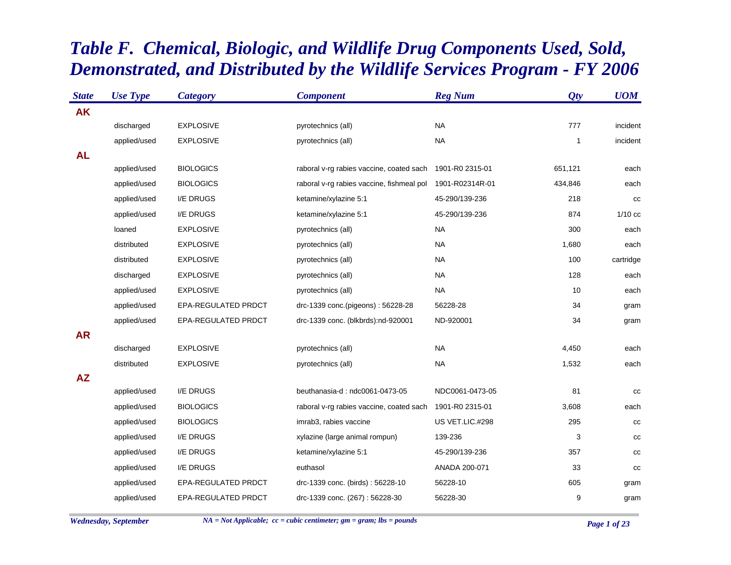## *Table F. Chemical, Biologic, and Wildlife Drug Components Used, Sold, Demonstrated, and Distributed by the Wildlife Services Program - FY 2006*

| <b>State</b> | <b>Use Type</b> | <b>Category</b>     | <b>Component</b>                          | <b>Reg Num</b>  | Qty          | <b>UOM</b> |
|--------------|-----------------|---------------------|-------------------------------------------|-----------------|--------------|------------|
| <b>AK</b>    |                 |                     |                                           |                 |              |            |
|              | discharged      | <b>EXPLOSIVE</b>    | pyrotechnics (all)                        | <b>NA</b>       | 777          | incident   |
|              | applied/used    | <b>EXPLOSIVE</b>    | pyrotechnics (all)                        | <b>NA</b>       | $\mathbf{1}$ | incident   |
| <b>AL</b>    |                 |                     |                                           |                 |              |            |
|              | applied/used    | <b>BIOLOGICS</b>    | raboral v-rg rabies vaccine, coated sach  | 1901-R0 2315-01 | 651,121      | each       |
|              | applied/used    | <b>BIOLOGICS</b>    | raboral v-rg rabies vaccine, fishmeal pol | 1901-R02314R-01 | 434,846      | each       |
|              | applied/used    | I/E DRUGS           | ketamine/xylazine 5:1                     | 45-290/139-236  | 218          | cc         |
|              | applied/used    | I/E DRUGS           | ketamine/xylazine 5:1                     | 45-290/139-236  | 874          | $1/10$ cc  |
|              | loaned          | <b>EXPLOSIVE</b>    | pyrotechnics (all)                        | <b>NA</b>       | 300          | each       |
|              | distributed     | <b>EXPLOSIVE</b>    | pyrotechnics (all)                        | <b>NA</b>       | 1,680        | each       |
|              | distributed     | <b>EXPLOSIVE</b>    | pyrotechnics (all)                        | <b>NA</b>       | 100          | cartridge  |
|              | discharged      | <b>EXPLOSIVE</b>    | pyrotechnics (all)                        | <b>NA</b>       | 128          | each       |
|              | applied/used    | <b>EXPLOSIVE</b>    | pyrotechnics (all)                        | <b>NA</b>       | 10           | each       |
|              | applied/used    | EPA-REGULATED PRDCT | drc-1339 conc.(pigeons): 56228-28         | 56228-28        | 34           | gram       |
|              | applied/used    | EPA-REGULATED PRDCT | drc-1339 conc. (blkbrds):nd-920001        | ND-920001       | 34           | gram       |
| <b>AR</b>    |                 |                     |                                           |                 |              |            |
|              | discharged      | <b>EXPLOSIVE</b>    | pyrotechnics (all)                        | <b>NA</b>       | 4,450        | each       |
|              | distributed     | <b>EXPLOSIVE</b>    | pyrotechnics (all)                        | <b>NA</b>       | 1,532        | each       |
| <b>AZ</b>    |                 |                     |                                           |                 |              |            |
|              | applied/used    | I/E DRUGS           | beuthanasia-d: ndc0061-0473-05            | NDC0061-0473-05 | 81           | cc         |
|              | applied/used    | <b>BIOLOGICS</b>    | raboral v-rg rabies vaccine, coated sach  | 1901-R0 2315-01 | 3,608        | each       |
|              | applied/used    | <b>BIOLOGICS</b>    | imrab3, rabies vaccine                    | US VET.LIC.#298 | 295          | cc         |
|              | applied/used    | I/E DRUGS           | xylazine (large animal rompun)            | 139-236         | 3            | cc         |
|              | applied/used    | I/E DRUGS           | ketamine/xylazine 5:1                     | 45-290/139-236  | 357          | cc         |
|              | applied/used    | I/E DRUGS           | euthasol                                  | ANADA 200-071   | 33           | cc         |
|              | applied/used    | EPA-REGULATED PRDCT | drc-1339 conc. (birds): 56228-10          | 56228-10        | 605          | gram       |
|              | applied/used    | EPA-REGULATED PRDCT | drc-1339 conc. (267): 56228-30            | 56228-30        | 9            | gram       |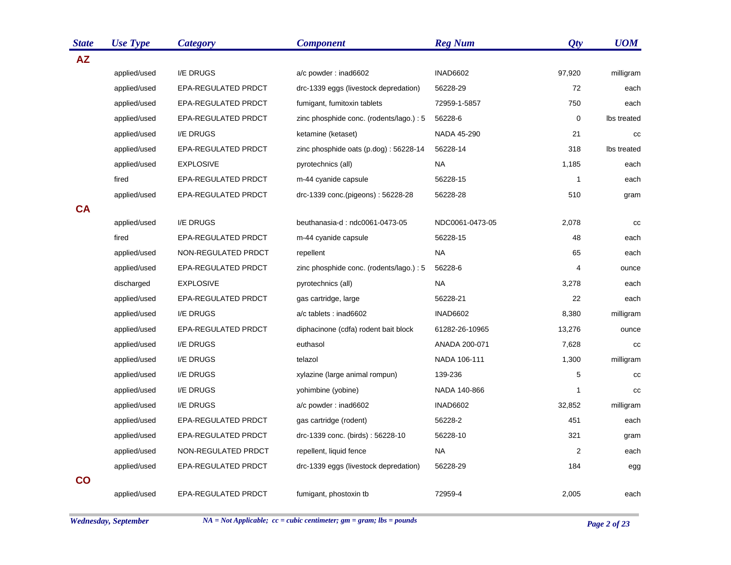| <b>State</b>   | <b>Use Type</b> | <b>Category</b>            | <b>Component</b>                         | <b>Reg Num</b>  | Qty          | <b>UOM</b>  |
|----------------|-----------------|----------------------------|------------------------------------------|-----------------|--------------|-------------|
| <b>AZ</b>      |                 |                            |                                          |                 |              |             |
|                | applied/used    | I/E DRUGS                  | a/c powder: inad6602                     | <b>INAD6602</b> | 97,920       | milligram   |
|                | applied/used    | <b>EPA-REGULATED PRDCT</b> | drc-1339 eggs (livestock depredation)    | 56228-29        | 72           | each        |
|                | applied/used    | <b>EPA-REGULATED PRDCT</b> | fumigant, fumitoxin tablets              | 72959-1-5857    | 750          | each        |
|                | applied/used    | <b>EPA-REGULATED PRDCT</b> | zinc phosphide conc. (rodents/lago.) : 5 | 56228-6         | $\mathbf 0$  | Ibs treated |
|                | applied/used    | I/E DRUGS                  | ketamine (ketaset)                       | NADA 45-290     | 21           | cc          |
|                | applied/used    | EPA-REGULATED PRDCT        | zinc phosphide oats (p.dog): 56228-14    | 56228-14        | 318          | lbs treated |
|                | applied/used    | <b>EXPLOSIVE</b>           | pyrotechnics (all)                       | <b>NA</b>       | 1,185        | each        |
|                | fired           | EPA-REGULATED PRDCT        | m-44 cyanide capsule                     | 56228-15        | $\mathbf{1}$ | each        |
|                | applied/used    | EPA-REGULATED PRDCT        | drc-1339 conc.(pigeons): 56228-28        | 56228-28        | 510          | gram        |
| <b>CA</b>      |                 |                            |                                          |                 |              |             |
|                | applied/used    | I/E DRUGS                  | beuthanasia-d: ndc0061-0473-05           | NDC0061-0473-05 | 2,078        | cc          |
|                | fired           | EPA-REGULATED PRDCT        | m-44 cyanide capsule                     | 56228-15        | 48           | each        |
|                | applied/used    | NON-REGULATED PRDCT        | repellent                                | <b>NA</b>       | 65           | each        |
|                | applied/used    | EPA-REGULATED PRDCT        | zinc phosphide conc. (rodents/lago.) : 5 | 56228-6         | 4            | ounce       |
|                | discharged      | <b>EXPLOSIVE</b>           | pyrotechnics (all)                       | <b>NA</b>       | 3,278        | each        |
|                | applied/used    | EPA-REGULATED PRDCT        | gas cartridge, large                     | 56228-21        | 22           | each        |
|                | applied/used    | <b>I/E DRUGS</b>           | a/c tablets : inad6602                   | <b>INAD6602</b> | 8,380        | milligram   |
|                | applied/used    | <b>EPA-REGULATED PRDCT</b> | diphacinone (cdfa) rodent bait block     | 61282-26-10965  | 13,276       | ounce       |
|                | applied/used    | I/E DRUGS                  | euthasol                                 | ANADA 200-071   | 7,628        | CC          |
|                | applied/used    | I/E DRUGS                  | telazol                                  | NADA 106-111    | 1,300        | milligram   |
|                | applied/used    | I/E DRUGS                  | xylazine (large animal rompun)           | 139-236         | 5            | cc          |
|                | applied/used    | I/E DRUGS                  | yohimbine (yobine)                       | NADA 140-866    | 1            | cc          |
|                | applied/used    | I/E DRUGS                  | a/c powder: inad6602                     | <b>INAD6602</b> | 32,852       | milligram   |
|                | applied/used    | EPA-REGULATED PRDCT        | gas cartridge (rodent)                   | 56228-2         | 451          | each        |
|                | applied/used    | EPA-REGULATED PRDCT        | drc-1339 conc. (birds): 56228-10         | 56228-10        | 321          | gram        |
|                | applied/used    | NON-REGULATED PRDCT        | repellent, liquid fence                  | <b>NA</b>       | $\sqrt{2}$   | each        |
|                | applied/used    | EPA-REGULATED PRDCT        | drc-1339 eggs (livestock depredation)    | 56228-29        | 184          | egg         |
| $\overline{c}$ |                 |                            |                                          |                 |              |             |
|                | applied/used    | <b>EPA-REGULATED PRDCT</b> | fumigant, phostoxin tb                   | 72959-4         | 2,005        | each        |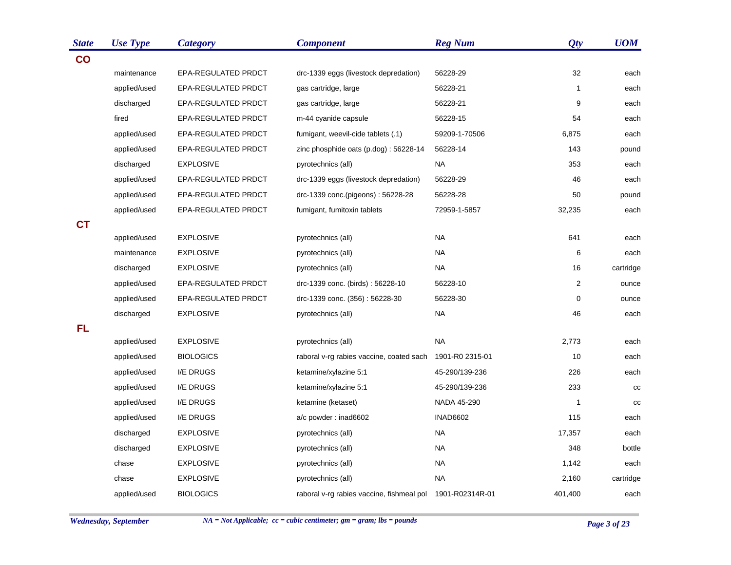| <b>State</b>  | <b>Use Type</b> | <b>Category</b>     | <b>Component</b>                          | <b>Reg Num</b>  | Qty            | <b>UOM</b> |
|---------------|-----------------|---------------------|-------------------------------------------|-----------------|----------------|------------|
| $\mathbf{CO}$ |                 |                     |                                           |                 |                |            |
|               | maintenance     | EPA-REGULATED PRDCT | drc-1339 eggs (livestock depredation)     | 56228-29        | 32             | each       |
|               | applied/used    | EPA-REGULATED PRDCT | gas cartridge, large                      | 56228-21        | $\mathbf{1}$   | each       |
|               | discharged      | EPA-REGULATED PRDCT | gas cartridge, large                      | 56228-21        | 9              | each       |
|               | fired           | EPA-REGULATED PRDCT | m-44 cyanide capsule                      | 56228-15        | 54             | each       |
|               | applied/used    | EPA-REGULATED PRDCT | fumigant, weevil-cide tablets (.1)        | 59209-1-70506   | 6,875          | each       |
|               | applied/used    | EPA-REGULATED PRDCT | zinc phosphide oats $(p.dog)$ : 56228-14  | 56228-14        | 143            | pound      |
|               | discharged      | <b>EXPLOSIVE</b>    | pyrotechnics (all)                        | <b>NA</b>       | 353            | each       |
|               | applied/used    | EPA-REGULATED PRDCT | drc-1339 eggs (livestock depredation)     | 56228-29        | 46             | each       |
|               | applied/used    | EPA-REGULATED PRDCT | drc-1339 conc.(pigeons): 56228-28         | 56228-28        | 50             | pound      |
|               | applied/used    | EPA-REGULATED PRDCT | fumigant, fumitoxin tablets               | 72959-1-5857    | 32,235         | each       |
| <b>CT</b>     |                 |                     |                                           |                 |                |            |
|               | applied/used    | <b>EXPLOSIVE</b>    | pyrotechnics (all)                        | <b>NA</b>       | 641            | each       |
|               | maintenance     | <b>EXPLOSIVE</b>    | pyrotechnics (all)                        | <b>NA</b>       | 6              | each       |
|               | discharged      | <b>EXPLOSIVE</b>    | pyrotechnics (all)                        | <b>NA</b>       | 16             | cartridge  |
|               | applied/used    | EPA-REGULATED PRDCT | drc-1339 conc. (birds): 56228-10          | 56228-10        | $\overline{2}$ | ounce      |
|               | applied/used    | EPA-REGULATED PRDCT | drc-1339 conc. (356): 56228-30            | 56228-30        | 0              | ounce      |
|               | discharged      | <b>EXPLOSIVE</b>    | pyrotechnics (all)                        | <b>NA</b>       | 46             | each       |
| <b>FL</b>     |                 |                     |                                           |                 |                |            |
|               | applied/used    | <b>EXPLOSIVE</b>    | pyrotechnics (all)                        | <b>NA</b>       | 2,773          | each       |
|               | applied/used    | <b>BIOLOGICS</b>    | raboral v-rg rabies vaccine, coated sach  | 1901-R0 2315-01 | 10             | each       |
|               | applied/used    | I/E DRUGS           | ketamine/xylazine 5:1                     | 45-290/139-236  | 226            | each       |
|               | applied/used    | I/E DRUGS           | ketamine/xylazine 5:1                     | 45-290/139-236  | 233            | cc         |
|               | applied/used    | I/E DRUGS           | ketamine (ketaset)                        | NADA 45-290     | 1              | cc         |
|               | applied/used    | I/E DRUGS           | a/c powder: inad6602                      | <b>INAD6602</b> | 115            | each       |
|               | discharged      | <b>EXPLOSIVE</b>    | pyrotechnics (all)                        | <b>NA</b>       | 17,357         | each       |
|               | discharged      | <b>EXPLOSIVE</b>    | pyrotechnics (all)                        | <b>NA</b>       | 348            | bottle     |
|               | chase           | <b>EXPLOSIVE</b>    | pyrotechnics (all)                        | <b>NA</b>       | 1,142          | each       |
|               | chase           | <b>EXPLOSIVE</b>    | pyrotechnics (all)                        | <b>NA</b>       | 2,160          | cartridge  |
|               | applied/used    | <b>BIOLOGICS</b>    | raboral v-rg rabies vaccine, fishmeal pol | 1901-R02314R-01 | 401,400        | each       |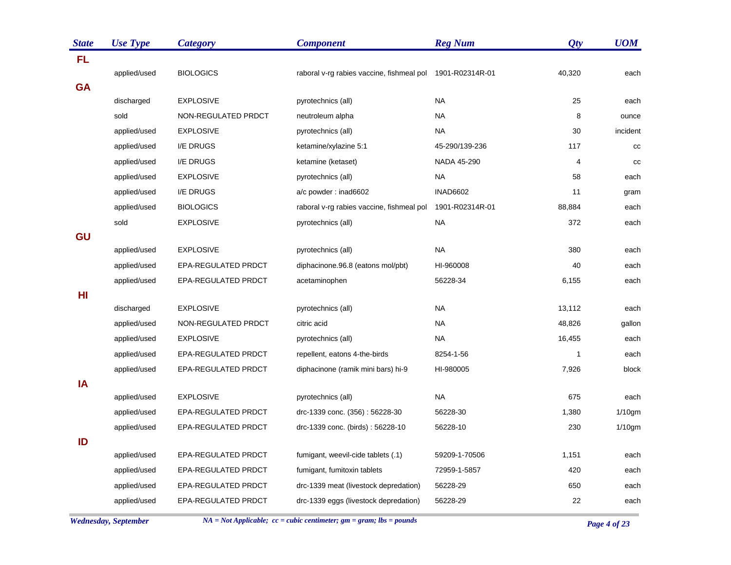| <b>State</b> | <b>Use Type</b> | <b>Category</b>     | <b>Component</b>                          | <b>Reg Num</b>  | Qty            | <b>UOM</b> |
|--------------|-----------------|---------------------|-------------------------------------------|-----------------|----------------|------------|
| <b>FL</b>    |                 |                     |                                           |                 |                |            |
|              | applied/used    | <b>BIOLOGICS</b>    | raboral v-rg rabies vaccine, fishmeal pol | 1901-R02314R-01 | 40,320         | each       |
| <b>GA</b>    |                 |                     |                                           |                 |                |            |
|              | discharged      | <b>EXPLOSIVE</b>    | pyrotechnics (all)                        | <b>NA</b>       | 25             | each       |
|              | sold            | NON-REGULATED PRDCT | neutroleum alpha                          | <b>NA</b>       | 8              | ounce      |
|              | applied/used    | <b>EXPLOSIVE</b>    | pyrotechnics (all)                        | <b>NA</b>       | 30             | incident   |
|              | applied/used    | I/E DRUGS           | ketamine/xylazine 5:1                     | 45-290/139-236  | 117            | cc         |
|              | applied/used    | I/E DRUGS           | ketamine (ketaset)                        | NADA 45-290     | $\overline{4}$ | cc         |
|              | applied/used    | <b>EXPLOSIVE</b>    | pyrotechnics (all)                        | NA.             | 58             | each       |
|              | applied/used    | I/E DRUGS           | a/c powder: inad6602                      | <b>INAD6602</b> | 11             | gram       |
|              | applied/used    | <b>BIOLOGICS</b>    | raboral v-rg rabies vaccine, fishmeal pol | 1901-R02314R-01 | 88,884         | each       |
|              | sold            | <b>EXPLOSIVE</b>    | pyrotechnics (all)                        | <b>NA</b>       | 372            | each       |
| <b>GU</b>    |                 |                     |                                           |                 |                |            |
|              | applied/used    | <b>EXPLOSIVE</b>    | pyrotechnics (all)                        | <b>NA</b>       | 380            | each       |
|              | applied/used    | EPA-REGULATED PRDCT | diphacinone.96.8 (eatons mol/pbt)         | HI-960008       | 40             | each       |
|              | applied/used    | EPA-REGULATED PRDCT | acetaminophen                             | 56228-34        | 6,155          | each       |
| HI           |                 |                     |                                           |                 |                |            |
|              | discharged      | <b>EXPLOSIVE</b>    | pyrotechnics (all)                        | <b>NA</b>       | 13,112         | each       |
|              | applied/used    | NON-REGULATED PRDCT | citric acid                               | <b>NA</b>       | 48,826         | gallon     |
|              | applied/used    | <b>EXPLOSIVE</b>    | pyrotechnics (all)                        | <b>NA</b>       | 16,455         | each       |
|              | applied/used    | EPA-REGULATED PRDCT | repellent, eatons 4-the-birds             | 8254-1-56       | $\mathbf{1}$   | each       |
|              | applied/used    | EPA-REGULATED PRDCT | diphacinone (ramik mini bars) hi-9        | HI-980005       | 7,926          | block      |
| IA           |                 |                     |                                           |                 |                |            |
|              | applied/used    | <b>EXPLOSIVE</b>    | pyrotechnics (all)                        | <b>NA</b>       | 675            | each       |
|              | applied/used    | EPA-REGULATED PRDCT | drc-1339 conc. (356): 56228-30            | 56228-30        | 1,380          | $1/10$ gm  |
|              | applied/used    | EPA-REGULATED PRDCT | drc-1339 conc. (birds): 56228-10          | 56228-10        | 230            | $1/10$ gm  |
| ID           |                 |                     |                                           |                 |                |            |
|              | applied/used    | EPA-REGULATED PRDCT | fumigant, weevil-cide tablets (.1)        | 59209-1-70506   | 1,151          | each       |
|              | applied/used    | EPA-REGULATED PRDCT | fumigant, fumitoxin tablets               | 72959-1-5857    | 420            | each       |
|              | applied/used    | EPA-REGULATED PRDCT | drc-1339 meat (livestock depredation)     | 56228-29        | 650            | each       |
|              | applied/used    | EPA-REGULATED PRDCT | drc-1339 eggs (livestock depredation)     | 56228-29        | 22             | each       |

*Wednesday, September NA = Not Applicable; cc = cubic centimeter; gm = gram; lbs = pounds Page 4 of 23*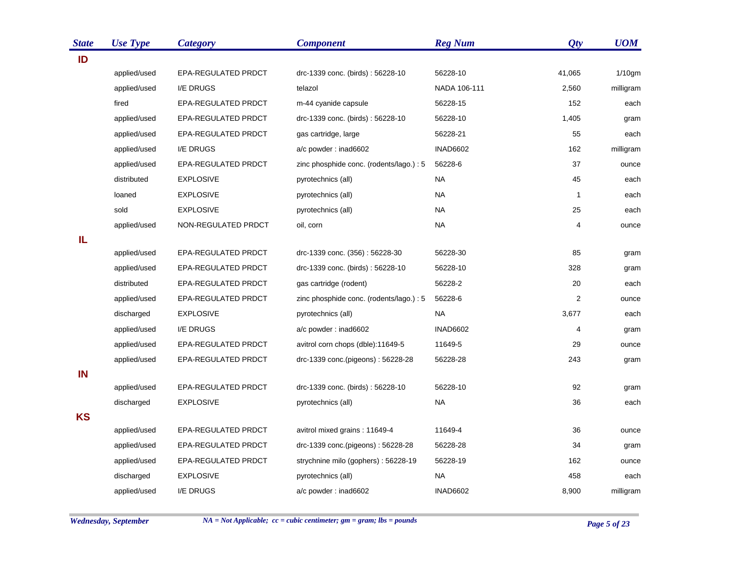| <b>State</b> | <b>Use Type</b> | <b>Category</b>     | <b>Component</b>                         | <b>Reg Num</b>  | Qty            | <b>UOM</b> |
|--------------|-----------------|---------------------|------------------------------------------|-----------------|----------------|------------|
| ID           |                 |                     |                                          |                 |                |            |
|              | applied/used    | EPA-REGULATED PRDCT | drc-1339 conc. (birds): 56228-10         | 56228-10        | 41,065         | $1/10$ gm  |
|              | applied/used    | I/E DRUGS           | telazol                                  | NADA 106-111    | 2,560          | milligram  |
|              | fired           | EPA-REGULATED PRDCT | m-44 cyanide capsule                     | 56228-15        | 152            | each       |
|              | applied/used    | EPA-REGULATED PRDCT | drc-1339 conc. (birds): 56228-10         | 56228-10        | 1,405          | gram       |
|              | applied/used    | EPA-REGULATED PRDCT | gas cartridge, large                     | 56228-21        | 55             | each       |
|              | applied/used    | I/E DRUGS           | a/c powder: inad6602                     | <b>INAD6602</b> | 162            | milligram  |
|              | applied/used    | EPA-REGULATED PRDCT | zinc phosphide conc. (rodents/lago.) : 5 | 56228-6         | 37             | ounce      |
|              | distributed     | <b>EXPLOSIVE</b>    | pyrotechnics (all)                       | <b>NA</b>       | 45             | each       |
|              | loaned          | <b>EXPLOSIVE</b>    | pyrotechnics (all)                       | <b>NA</b>       | $\mathbf{1}$   | each       |
|              | sold            | <b>EXPLOSIVE</b>    | pyrotechnics (all)                       | NA              | 25             | each       |
|              | applied/used    | NON-REGULATED PRDCT | oil, corn                                | NA              | 4              | ounce      |
| IL           |                 |                     |                                          |                 |                |            |
|              | applied/used    | EPA-REGULATED PRDCT | drc-1339 conc. (356): 56228-30           | 56228-30        | 85             | gram       |
|              | applied/used    | EPA-REGULATED PRDCT | drc-1339 conc. (birds): 56228-10         | 56228-10        | 328            | gram       |
|              | distributed     | EPA-REGULATED PRDCT | gas cartridge (rodent)                   | 56228-2         | 20             | each       |
|              | applied/used    | EPA-REGULATED PRDCT | zinc phosphide conc. (rodents/lago.) : 5 | 56228-6         | $\overline{c}$ | ounce      |
|              | discharged      | <b>EXPLOSIVE</b>    | pyrotechnics (all)                       | <b>NA</b>       | 3,677          | each       |
|              | applied/used    | I/E DRUGS           | a/c powder: inad6602                     | <b>INAD6602</b> | 4              | gram       |
|              | applied/used    | EPA-REGULATED PRDCT | avitrol corn chops (dble):11649-5        | 11649-5         | 29             | ounce      |
|              | applied/used    | EPA-REGULATED PRDCT | drc-1339 conc.(pigeons): 56228-28        | 56228-28        | 243            | gram       |
| IN           |                 |                     |                                          |                 |                |            |
|              | applied/used    | EPA-REGULATED PRDCT | drc-1339 conc. (birds): 56228-10         | 56228-10        | 92             | gram       |
|              | discharged      | <b>EXPLOSIVE</b>    | pyrotechnics (all)                       | <b>NA</b>       | 36             | each       |
| <b>KS</b>    |                 |                     |                                          |                 |                |            |
|              | applied/used    | EPA-REGULATED PRDCT | avitrol mixed grains: 11649-4            | 11649-4         | 36             | ounce      |
|              | applied/used    | EPA-REGULATED PRDCT | drc-1339 conc.(pigeons): 56228-28        | 56228-28        | 34             | gram       |
|              | applied/used    | EPA-REGULATED PRDCT | strychnine milo (gophers): 56228-19      | 56228-19        | 162            | ounce      |
|              | discharged      | <b>EXPLOSIVE</b>    | pyrotechnics (all)                       | NA              | 458            | each       |
|              | applied/used    | I/E DRUGS           | a/c powder: inad6602                     | <b>INAD6602</b> | 8,900          | milligram  |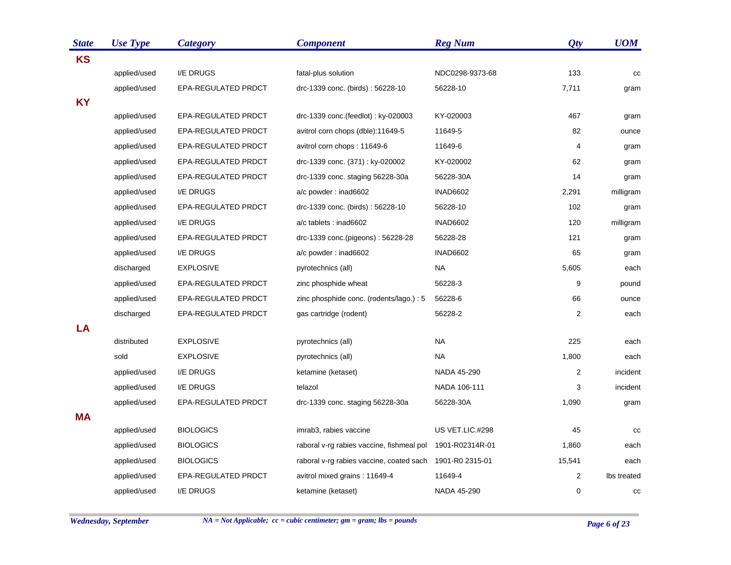| <b>State</b> | <b>Use Type</b> | <b>Category</b>            | <b>Component</b>                          | <b>Reg Num</b>  | Qty            | <b>UOM</b>  |
|--------------|-----------------|----------------------------|-------------------------------------------|-----------------|----------------|-------------|
| <b>KS</b>    |                 |                            |                                           |                 |                |             |
|              | applied/used    | I/E DRUGS                  | fatal-plus solution                       | NDC0298-9373-68 | 133            | cc          |
|              | applied/used    | <b>EPA-REGULATED PRDCT</b> | drc-1339 conc. (birds): 56228-10          | 56228-10        | 7,711          | gram        |
| <b>KY</b>    |                 |                            |                                           |                 |                |             |
|              | applied/used    | EPA-REGULATED PRDCT        | drc-1339 conc.(feedlot): ky-020003        | KY-020003       | 467            | gram        |
|              | applied/used    | EPA-REGULATED PRDCT        | avitrol corn chops (dble):11649-5         | 11649-5         | 82             | ounce       |
|              | applied/used    | EPA-REGULATED PRDCT        | avitrol corn chops: 11649-6               | 11649-6         | $\overline{4}$ | gram        |
|              | applied/used    | <b>EPA-REGULATED PRDCT</b> | drc-1339 conc. (371): ky-020002           | KY-020002       | 62             | gram        |
|              | applied/used    | EPA-REGULATED PRDCT        | drc-1339 conc. staging 56228-30a          | 56228-30A       | 14             | gram        |
|              | applied/used    | I/E DRUGS                  | a/c powder: inad6602                      | <b>INAD6602</b> | 2,291          | milligram   |
|              | applied/used    | EPA-REGULATED PRDCT        | drc-1339 conc. (birds): 56228-10          | 56228-10        | 102            | gram        |
|              | applied/used    | I/E DRUGS                  | a/c tablets : inad6602                    | <b>INAD6602</b> | 120            | milligram   |
|              | applied/used    | EPA-REGULATED PRDCT        | drc-1339 conc.(pigeons): 56228-28         | 56228-28        | 121            | gram        |
|              | applied/used    | I/E DRUGS                  | a/c powder: inad6602                      | <b>INAD6602</b> | 65             | gram        |
|              | discharged      | <b>EXPLOSIVE</b>           | pyrotechnics (all)                        | NA              | 5,605          | each        |
|              | applied/used    | EPA-REGULATED PRDCT        | zinc phosphide wheat                      | 56228-3         | 9              | pound       |
|              | applied/used    | EPA-REGULATED PRDCT        | zinc phosphide conc. (rodents/lago.) : 5  | 56228-6         | 66             | ounce       |
|              | discharged      | EPA-REGULATED PRDCT        | gas cartridge (rodent)                    | 56228-2         | $\overline{2}$ | each        |
| LA           |                 |                            |                                           |                 |                |             |
|              | distributed     | <b>EXPLOSIVE</b>           | pyrotechnics (all)                        | <b>NA</b>       | 225            | each        |
|              | sold            | <b>EXPLOSIVE</b>           | pyrotechnics (all)                        | NA              | 1,800          | each        |
|              | applied/used    | I/E DRUGS                  | ketamine (ketaset)                        | NADA 45-290     | 2              | incident    |
|              | applied/used    | I/E DRUGS                  | telazol                                   | NADA 106-111    | 3              | incident    |
|              | applied/used    | <b>EPA-REGULATED PRDCT</b> | drc-1339 conc. staging 56228-30a          | 56228-30A       | 1,090          | gram        |
| <b>MA</b>    |                 |                            |                                           |                 |                |             |
|              | applied/used    | <b>BIOLOGICS</b>           | imrab3, rabies vaccine                    | US VET.LIC.#298 | 45             | cc          |
|              | applied/used    | <b>BIOLOGICS</b>           | raboral v-rg rabies vaccine, fishmeal pol | 1901-R02314R-01 | 1,860          | each        |
|              | applied/used    | <b>BIOLOGICS</b>           | raboral v-rg rabies vaccine, coated sach  | 1901-R0 2315-01 | 15,541         | each        |
|              | applied/used    | <b>EPA-REGULATED PRDCT</b> | avitrol mixed grains: 11649-4             | 11649-4         | 2              | Ibs treated |
|              | applied/used    | I/E DRUGS                  | ketamine (ketaset)                        | NADA 45-290     | $\mathbf 0$    | $_{\rm CC}$ |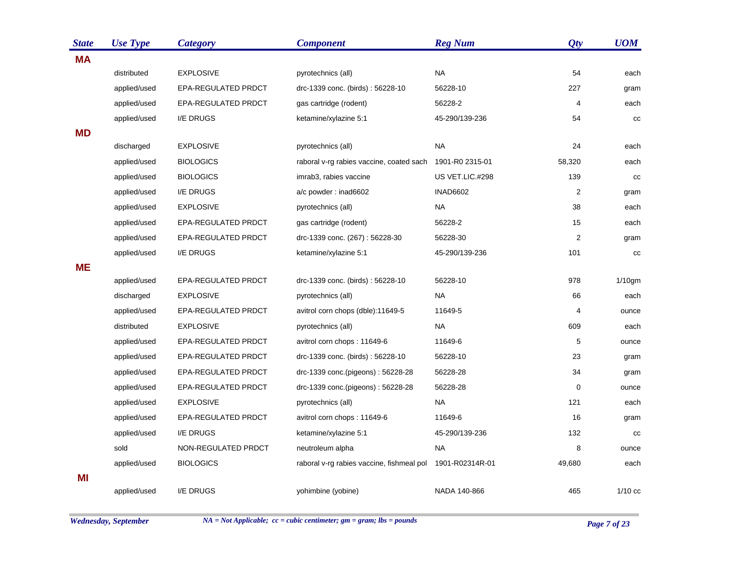| <b>State</b> | <b>Use Type</b> | <b>Category</b>     | <b>Component</b>                          | <b>Reg Num</b>  | Qty            | <b>UOM</b> |
|--------------|-----------------|---------------------|-------------------------------------------|-----------------|----------------|------------|
| <b>MA</b>    |                 |                     |                                           |                 |                |            |
|              | distributed     | <b>EXPLOSIVE</b>    | pyrotechnics (all)                        | <b>NA</b>       | 54             | each       |
|              | applied/used    | EPA-REGULATED PRDCT | drc-1339 conc. (birds): 56228-10          | 56228-10        | 227            | gram       |
|              | applied/used    | EPA-REGULATED PRDCT | gas cartridge (rodent)                    | 56228-2         | 4              | each       |
|              | applied/used    | I/E DRUGS           | ketamine/xylazine 5:1                     | 45-290/139-236  | 54             | cc         |
| <b>MD</b>    |                 |                     |                                           |                 |                |            |
|              | discharged      | <b>EXPLOSIVE</b>    | pyrotechnics (all)                        | <b>NA</b>       | 24             | each       |
|              | applied/used    | <b>BIOLOGICS</b>    | raboral v-rg rabies vaccine, coated sach  | 1901-R0 2315-01 | 58,320         | each       |
|              | applied/used    | <b>BIOLOGICS</b>    | imrab3, rabies vaccine                    | US VET.LIC.#298 | 139            | cc         |
|              | applied/used    | I/E DRUGS           | a/c powder: inad6602                      | <b>INAD6602</b> | $\overline{c}$ | gram       |
|              | applied/used    | <b>EXPLOSIVE</b>    | pyrotechnics (all)                        | NA.             | 38             | each       |
|              | applied/used    | EPA-REGULATED PRDCT | gas cartridge (rodent)                    | 56228-2         | 15             | each       |
|              | applied/used    | EPA-REGULATED PRDCT | drc-1339 conc. (267): 56228-30            | 56228-30        | 2              | gram       |
|              | applied/used    | I/E DRUGS           | ketamine/xylazine 5:1                     | 45-290/139-236  | 101            | cc         |
| <b>ME</b>    |                 |                     |                                           |                 |                |            |
|              | applied/used    | EPA-REGULATED PRDCT | drc-1339 conc. (birds): 56228-10          | 56228-10        | 978            | $1/10$ gm  |
|              | discharged      | <b>EXPLOSIVE</b>    | pyrotechnics (all)                        | NA.             | 66             | each       |
|              | applied/used    | EPA-REGULATED PRDCT | avitrol corn chops (dble):11649-5         | 11649-5         | 4              | ounce      |
|              | distributed     | <b>EXPLOSIVE</b>    | pyrotechnics (all)                        | <b>NA</b>       | 609            | each       |
|              | applied/used    | EPA-REGULATED PRDCT | avitrol corn chops: 11649-6               | 11649-6         | 5              | ounce      |
|              | applied/used    | EPA-REGULATED PRDCT | drc-1339 conc. (birds): 56228-10          | 56228-10        | 23             | gram       |
|              | applied/used    | EPA-REGULATED PRDCT | drc-1339 conc.(pigeons): 56228-28         | 56228-28        | 34             | gram       |
|              | applied/used    | EPA-REGULATED PRDCT | drc-1339 conc.(pigeons): 56228-28         | 56228-28        | $\pmb{0}$      | ounce      |
|              | applied/used    | <b>EXPLOSIVE</b>    | pyrotechnics (all)                        | NA.             | 121            | each       |
|              | applied/used    | EPA-REGULATED PRDCT | avitrol corn chops: 11649-6               | 11649-6         | 16             | gram       |
|              | applied/used    | I/E DRUGS           | ketamine/xylazine 5:1                     | 45-290/139-236  | 132            | CC         |
|              | sold            | NON-REGULATED PRDCT | neutroleum alpha                          | <b>NA</b>       | 8              | ounce      |
|              | applied/used    | <b>BIOLOGICS</b>    | raboral v-rg rabies vaccine, fishmeal pol | 1901-R02314R-01 | 49,680         | each       |
| MI           |                 |                     |                                           |                 |                |            |
|              | applied/used    | I/E DRUGS           | yohimbine (yobine)                        | NADA 140-866    | 465            | $1/10$ cc  |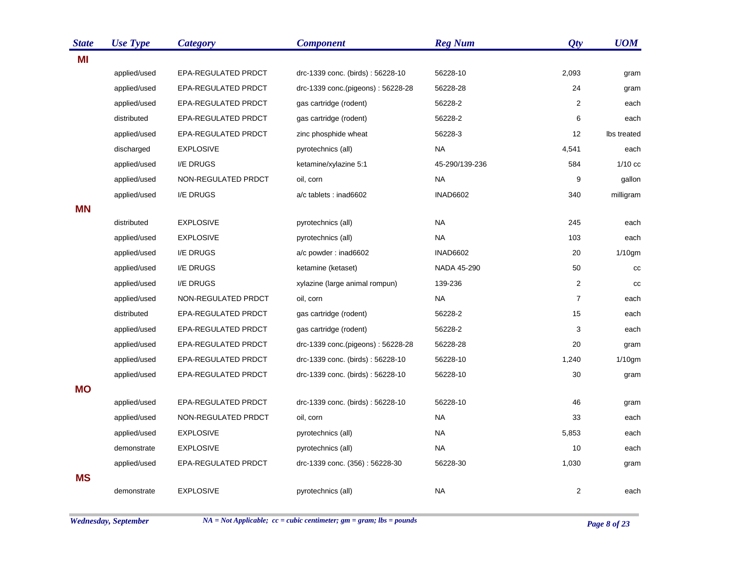| <b>State</b> | <b>Use Type</b> | <b>Category</b>     | <b>Component</b>                  | <b>Reg Num</b>  | Qty            | <b>UOM</b>  |
|--------------|-----------------|---------------------|-----------------------------------|-----------------|----------------|-------------|
| ΜI           |                 |                     |                                   |                 |                |             |
|              | applied/used    | EPA-REGULATED PRDCT | drc-1339 conc. (birds): 56228-10  | 56228-10        | 2,093          | gram        |
|              | applied/used    | EPA-REGULATED PRDCT | drc-1339 conc.(pigeons): 56228-28 | 56228-28        | 24             | gram        |
|              | applied/used    | EPA-REGULATED PRDCT | gas cartridge (rodent)            | 56228-2         | 2              | each        |
|              | distributed     | EPA-REGULATED PRDCT | gas cartridge (rodent)            | 56228-2         | 6              | each        |
|              | applied/used    | EPA-REGULATED PRDCT | zinc phosphide wheat              | 56228-3         | 12             | Ibs treated |
|              | discharged      | <b>EXPLOSIVE</b>    | pyrotechnics (all)                | <b>NA</b>       | 4,541          | each        |
|              | applied/used    | I/E DRUGS           | ketamine/xylazine 5:1             | 45-290/139-236  | 584            | $1/10$ cc   |
|              | applied/used    | NON-REGULATED PRDCT | oil, corn                         | <b>NA</b>       | 9              | gallon      |
|              | applied/used    | I/E DRUGS           | a/c tablets : inad6602            | <b>INAD6602</b> | 340            | milligram   |
| <b>MN</b>    |                 |                     |                                   |                 |                |             |
|              | distributed     | <b>EXPLOSIVE</b>    | pyrotechnics (all)                | <b>NA</b>       | 245            | each        |
|              | applied/used    | <b>EXPLOSIVE</b>    | pyrotechnics (all)                | <b>NA</b>       | 103            | each        |
|              | applied/used    | I/E DRUGS           | a/c powder: inad6602              | <b>INAD6602</b> | 20             | $1/10$ gm   |
|              | applied/used    | I/E DRUGS           | ketamine (ketaset)                | NADA 45-290     | 50             | cc          |
|              | applied/used    | I/E DRUGS           | xylazine (large animal rompun)    | 139-236         | 2              | cc          |
|              | applied/used    | NON-REGULATED PRDCT | oil, corn                         | <b>NA</b>       | $\overline{7}$ | each        |
|              | distributed     | EPA-REGULATED PRDCT | gas cartridge (rodent)            | 56228-2         | 15             | each        |
|              | applied/used    | EPA-REGULATED PRDCT | gas cartridge (rodent)            | 56228-2         | 3              | each        |
|              | applied/used    | EPA-REGULATED PRDCT | drc-1339 conc.(pigeons): 56228-28 | 56228-28        | 20             | gram        |
|              | applied/used    | EPA-REGULATED PRDCT | drc-1339 conc. (birds): 56228-10  | 56228-10        | 1,240          | 1/10gm      |
|              | applied/used    | EPA-REGULATED PRDCT | drc-1339 conc. (birds): 56228-10  | 56228-10        | 30             | gram        |
| <b>MO</b>    |                 |                     |                                   |                 |                |             |
|              | applied/used    | EPA-REGULATED PRDCT | drc-1339 conc. (birds): 56228-10  | 56228-10        | 46             | gram        |
|              | applied/used    | NON-REGULATED PRDCT | oil, corn                         | <b>NA</b>       | 33             | each        |
|              | applied/used    | <b>EXPLOSIVE</b>    | pyrotechnics (all)                | <b>NA</b>       | 5,853          | each        |
|              | demonstrate     | <b>EXPLOSIVE</b>    | pyrotechnics (all)                | <b>NA</b>       | 10             | each        |
|              | applied/used    | EPA-REGULATED PRDCT | drc-1339 conc. (356): 56228-30    | 56228-30        | 1,030          | gram        |
| <b>MS</b>    |                 |                     |                                   |                 |                |             |
|              | demonstrate     | <b>EXPLOSIVE</b>    | pyrotechnics (all)                | <b>NA</b>       | 2              | each        |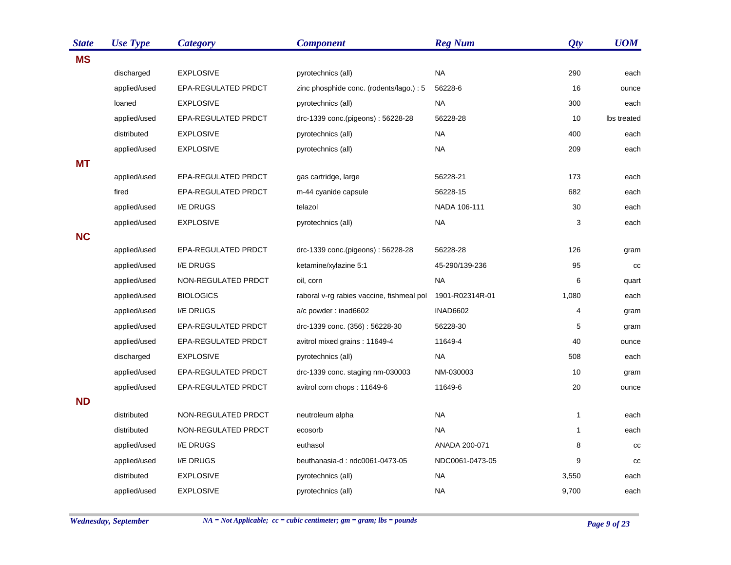| <b>State</b> | <b>Use Type</b> | <b>Category</b>     | <b>Component</b>                          | <b>Reg Num</b>  | Qty          | <b>UOM</b>  |
|--------------|-----------------|---------------------|-------------------------------------------|-----------------|--------------|-------------|
| <b>MS</b>    |                 |                     |                                           |                 |              |             |
|              | discharged      | <b>EXPLOSIVE</b>    | pyrotechnics (all)                        | <b>NA</b>       | 290          | each        |
|              | applied/used    | EPA-REGULATED PRDCT | zinc phosphide conc. (rodents/lago.) : 5  | 56228-6         | 16           | ounce       |
|              | loaned          | <b>EXPLOSIVE</b>    | pyrotechnics (all)                        | <b>NA</b>       | 300          | each        |
|              | applied/used    | EPA-REGULATED PRDCT | drc-1339 conc.(pigeons): 56228-28         | 56228-28        | 10           | Ibs treated |
|              | distributed     | <b>EXPLOSIVE</b>    | pyrotechnics (all)                        | <b>NA</b>       | 400          | each        |
|              | applied/used    | <b>EXPLOSIVE</b>    | pyrotechnics (all)                        | <b>NA</b>       | 209          | each        |
| <b>MT</b>    |                 |                     |                                           |                 |              |             |
|              | applied/used    | EPA-REGULATED PRDCT | gas cartridge, large                      | 56228-21        | 173          | each        |
|              | fired           | EPA-REGULATED PRDCT | m-44 cyanide capsule                      | 56228-15        | 682          | each        |
|              | applied/used    | I/E DRUGS           | telazol                                   | NADA 106-111    | 30           | each        |
|              | applied/used    | <b>EXPLOSIVE</b>    | pyrotechnics (all)                        | <b>NA</b>       | 3            | each        |
| <b>NC</b>    |                 |                     |                                           |                 |              |             |
|              | applied/used    | EPA-REGULATED PRDCT | drc-1339 conc.(pigeons): 56228-28         | 56228-28        | 126          | gram        |
|              | applied/used    | I/E DRUGS           | ketamine/xylazine 5:1                     | 45-290/139-236  | 95           | cc          |
|              | applied/used    | NON-REGULATED PRDCT | oil, corn                                 | <b>NA</b>       | 6            | quart       |
|              | applied/used    | <b>BIOLOGICS</b>    | raboral v-rg rabies vaccine, fishmeal pol | 1901-R02314R-01 | 1,080        | each        |
|              | applied/used    | I/E DRUGS           | a/c powder: inad6602                      | <b>INAD6602</b> | 4            | gram        |
|              | applied/used    | EPA-REGULATED PRDCT | drc-1339 conc. (356): 56228-30            | 56228-30        | 5            | gram        |
|              | applied/used    | EPA-REGULATED PRDCT | avitrol mixed grains: 11649-4             | 11649-4         | 40           | ounce       |
|              | discharged      | <b>EXPLOSIVE</b>    | pyrotechnics (all)                        | <b>NA</b>       | 508          | each        |
|              | applied/used    | EPA-REGULATED PRDCT | drc-1339 conc. staging nm-030003          | NM-030003       | 10           | gram        |
|              | applied/used    | EPA-REGULATED PRDCT | avitrol corn chops: 11649-6               | 11649-6         | 20           | ounce       |
| <b>ND</b>    |                 |                     |                                           |                 |              |             |
|              | distributed     | NON-REGULATED PRDCT | neutroleum alpha                          | <b>NA</b>       | $\mathbf{1}$ | each        |
|              | distributed     | NON-REGULATED PRDCT | ecosorb                                   | <b>NA</b>       | 1            | each        |
|              | applied/used    | I/E DRUGS           | euthasol                                  | ANADA 200-071   | 8            | CC          |
|              | applied/used    | I/E DRUGS           | beuthanasia-d: ndc0061-0473-05            | NDC0061-0473-05 | 9            | cc          |
|              | distributed     | <b>EXPLOSIVE</b>    | pyrotechnics (all)                        | <b>NA</b>       | 3,550        | each        |
|              | applied/used    | <b>EXPLOSIVE</b>    | pyrotechnics (all)                        | <b>NA</b>       | 9,700        | each        |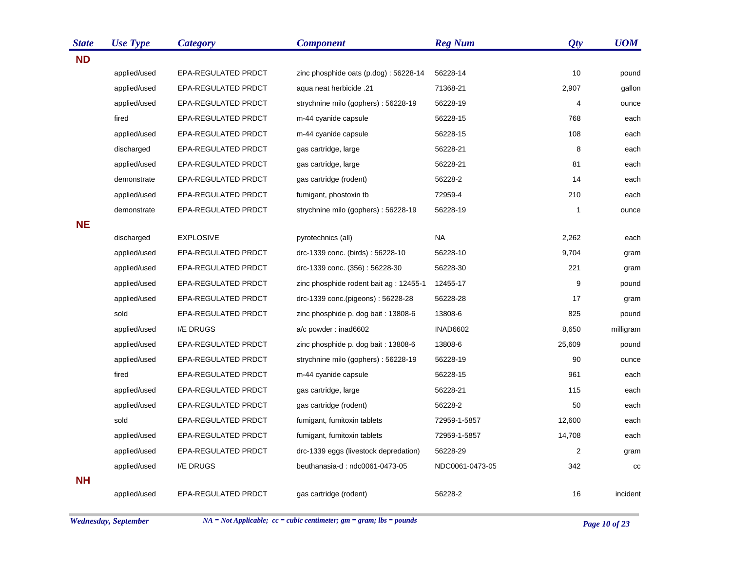| <b>State</b> | <b>Use Type</b> | <b>Category</b>     | <b>Component</b>                        | <b>Reg Num</b>  | Qty    | <b>UOM</b> |
|--------------|-----------------|---------------------|-----------------------------------------|-----------------|--------|------------|
| <b>ND</b>    |                 |                     |                                         |                 |        |            |
|              | applied/used    | EPA-REGULATED PRDCT | zinc phosphide oats (p.dog): 56228-14   | 56228-14        | 10     | pound      |
|              | applied/used    | EPA-REGULATED PRDCT | 21. agua neat herbicide                 | 71368-21        | 2,907  | gallon     |
|              | applied/used    | EPA-REGULATED PRDCT | strychnine milo (gophers): 56228-19     | 56228-19        | 4      | ounce      |
|              | fired           | EPA-REGULATED PRDCT | m-44 cyanide capsule                    | 56228-15        | 768    | each       |
|              | applied/used    | EPA-REGULATED PRDCT | m-44 cyanide capsule                    | 56228-15        | 108    | each       |
|              | discharged      | EPA-REGULATED PRDCT | gas cartridge, large                    | 56228-21        | 8      | each       |
|              | applied/used    | EPA-REGULATED PRDCT | gas cartridge, large                    | 56228-21        | 81     | each       |
|              | demonstrate     | EPA-REGULATED PRDCT | gas cartridge (rodent)                  | 56228-2         | 14     | each       |
|              | applied/used    | EPA-REGULATED PRDCT | fumigant, phostoxin tb                  | 72959-4         | 210    | each       |
|              | demonstrate     | EPA-REGULATED PRDCT | strychnine milo (gophers): 56228-19     | 56228-19        | 1      | ounce      |
| <b>NE</b>    |                 |                     |                                         |                 |        |            |
|              | discharged      | <b>EXPLOSIVE</b>    | pyrotechnics (all)                      | <b>NA</b>       | 2,262  | each       |
|              | applied/used    | EPA-REGULATED PRDCT | drc-1339 conc. (birds): 56228-10        | 56228-10        | 9,704  | gram       |
|              | applied/used    | EPA-REGULATED PRDCT | drc-1339 conc. (356): 56228-30          | 56228-30        | 221    | gram       |
|              | applied/used    | EPA-REGULATED PRDCT | zinc phosphide rodent bait ag : 12455-1 | 12455-17        | 9      | pound      |
|              | applied/used    | EPA-REGULATED PRDCT | drc-1339 conc.(pigeons): 56228-28       | 56228-28        | 17     | gram       |
|              | sold            | EPA-REGULATED PRDCT | zinc phosphide p. dog bait: 13808-6     | 13808-6         | 825    | pound      |
|              | applied/used    | I/E DRUGS           | a/c powder: inad6602                    | <b>INAD6602</b> | 8,650  | milligram  |
|              | applied/used    | EPA-REGULATED PRDCT | zinc phosphide p. dog bait: 13808-6     | 13808-6         | 25,609 | pound      |
|              | applied/used    | EPA-REGULATED PRDCT | strychnine milo (gophers): 56228-19     | 56228-19        | 90     | ounce      |
|              | fired           | EPA-REGULATED PRDCT | m-44 cyanide capsule                    | 56228-15        | 961    | each       |
|              | applied/used    | EPA-REGULATED PRDCT | gas cartridge, large                    | 56228-21        | 115    | each       |
|              | applied/used    | EPA-REGULATED PRDCT | gas cartridge (rodent)                  | 56228-2         | 50     | each       |
|              | sold            | EPA-REGULATED PRDCT | fumigant, fumitoxin tablets             | 72959-1-5857    | 12,600 | each       |
|              | applied/used    | EPA-REGULATED PRDCT | fumigant, fumitoxin tablets             | 72959-1-5857    | 14,708 | each       |
|              | applied/used    | EPA-REGULATED PRDCT | drc-1339 eggs (livestock depredation)   | 56228-29        | 2      | gram       |
|              | applied/used    | I/E DRUGS           | beuthanasia-d: ndc0061-0473-05          | NDC0061-0473-05 | 342    | cc         |
| <b>NH</b>    |                 |                     |                                         |                 |        |            |
|              | applied/used    | EPA-REGULATED PRDCT | gas cartridge (rodent)                  | 56228-2         | 16     | incident   |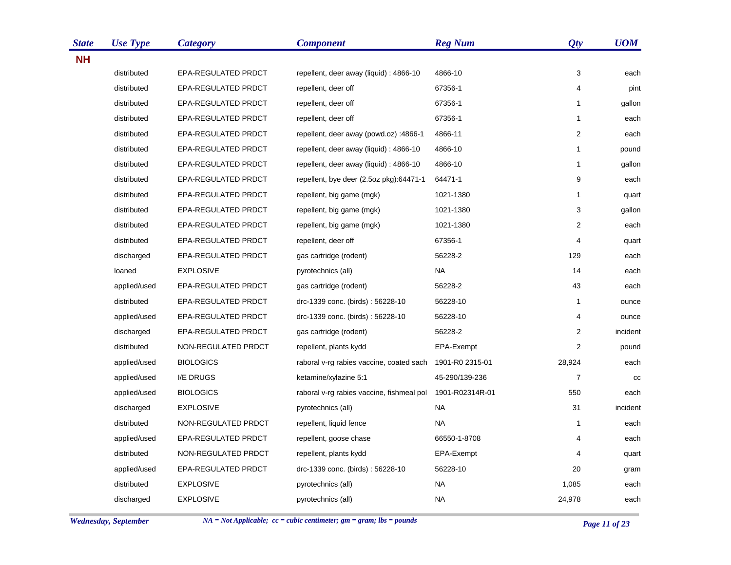| <b>State</b> | <b>Use Type</b> | <b>Category</b>     | <b>Component</b>                          | <b>Reg Num</b>  | Qty            | <b>UOM</b> |
|--------------|-----------------|---------------------|-------------------------------------------|-----------------|----------------|------------|
| <b>NH</b>    |                 |                     |                                           |                 |                |            |
|              | distributed     | EPA-REGULATED PRDCT | repellent, deer away (liquid) : 4866-10   | 4866-10         | 3              | each       |
|              | distributed     | EPA-REGULATED PRDCT | repellent, deer off                       | 67356-1         | 4              | pint       |
|              | distributed     | EPA-REGULATED PRDCT | repellent, deer off                       | 67356-1         | $\mathbf 1$    | gallon     |
|              | distributed     | EPA-REGULATED PRDCT | repellent, deer off                       | 67356-1         | $\mathbf{1}$   | each       |
|              | distributed     | EPA-REGULATED PRDCT | repellent, deer away (powd.oz) :4866-1    | 4866-11         | 2              | each       |
|              | distributed     | EPA-REGULATED PRDCT | repellent, deer away (liquid) : 4866-10   | 4866-10         | 1              | pound      |
|              | distributed     | EPA-REGULATED PRDCT | repellent, deer away (liquid) : 4866-10   | 4866-10         | 1              | gallon     |
|              | distributed     | EPA-REGULATED PRDCT | repellent, bye deer (2.5oz pkg):64471-1   | 64471-1         | 9              | each       |
|              | distributed     | EPA-REGULATED PRDCT | repellent, big game (mgk)                 | 1021-1380       | 1              | quart      |
|              | distributed     | EPA-REGULATED PRDCT | repellent, big game (mgk)                 | 1021-1380       | 3              | gallon     |
|              | distributed     | EPA-REGULATED PRDCT | repellent, big game (mgk)                 | 1021-1380       | $\overline{c}$ | each       |
|              | distributed     | EPA-REGULATED PRDCT | repellent, deer off                       | 67356-1         | 4              | quart      |
|              | discharged      | EPA-REGULATED PRDCT | gas cartridge (rodent)                    | 56228-2         | 129            | each       |
|              | loaned          | <b>EXPLOSIVE</b>    | pyrotechnics (all)                        | <b>NA</b>       | 14             | each       |
|              | applied/used    | EPA-REGULATED PRDCT | gas cartridge (rodent)                    | 56228-2         | 43             | each       |
|              | distributed     | EPA-REGULATED PRDCT | drc-1339 conc. (birds): 56228-10          | 56228-10        | 1              | ounce      |
|              | applied/used    | EPA-REGULATED PRDCT | drc-1339 conc. (birds): 56228-10          | 56228-10        | 4              | ounce      |
|              | discharged      | EPA-REGULATED PRDCT | gas cartridge (rodent)                    | 56228-2         | $\overline{2}$ | incident   |
|              | distributed     | NON-REGULATED PRDCT | repellent, plants kydd                    | EPA-Exempt      | $\overline{2}$ | pound      |
|              | applied/used    | <b>BIOLOGICS</b>    | raboral v-rg rabies vaccine, coated sach  | 1901-R0 2315-01 | 28,924         | each       |
|              | applied/used    | I/E DRUGS           | ketamine/xylazine 5:1                     | 45-290/139-236  | $\overline{7}$ | cc         |
|              | applied/used    | <b>BIOLOGICS</b>    | raboral v-rg rabies vaccine, fishmeal pol | 1901-R02314R-01 | 550            | each       |
|              | discharged      | <b>EXPLOSIVE</b>    | pyrotechnics (all)                        | NA              | 31             | incident   |
|              | distributed     | NON-REGULATED PRDCT | repellent, liquid fence                   | <b>NA</b>       | 1              | each       |
|              | applied/used    | EPA-REGULATED PRDCT | repellent, goose chase                    | 66550-1-8708    | 4              | each       |
|              | distributed     | NON-REGULATED PRDCT | repellent, plants kydd                    | EPA-Exempt      | 4              | quart      |
|              | applied/used    | EPA-REGULATED PRDCT | drc-1339 conc. (birds): 56228-10          | 56228-10        | 20             | gram       |
|              | distributed     | <b>EXPLOSIVE</b>    | pyrotechnics (all)                        | NA              | 1,085          | each       |
|              | discharged      | <b>EXPLOSIVE</b>    | pyrotechnics (all)                        | <b>NA</b>       | 24,978         | each       |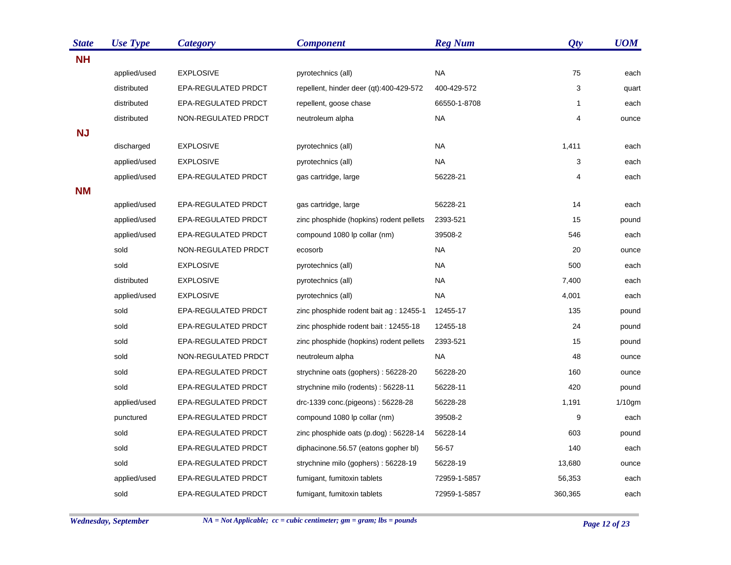| <b>State</b> | <b>Use Type</b> | <b>Category</b>     | <b>Component</b>                        | <b>Reg Num</b> | Qty          | <b>UOM</b> |
|--------------|-----------------|---------------------|-----------------------------------------|----------------|--------------|------------|
| <b>NH</b>    |                 |                     |                                         |                |              |            |
|              | applied/used    | <b>EXPLOSIVE</b>    | pyrotechnics (all)                      | <b>NA</b>      | 75           | each       |
|              | distributed     | EPA-REGULATED PRDCT | repellent, hinder deer (qt):400-429-572 | 400-429-572    | 3            | quart      |
|              | distributed     | EPA-REGULATED PRDCT | repellent, goose chase                  | 66550-1-8708   | $\mathbf{1}$ | each       |
|              | distributed     | NON-REGULATED PRDCT | neutroleum alpha                        | NA             | 4            | ounce      |
| <b>NJ</b>    |                 |                     |                                         |                |              |            |
|              | discharged      | <b>EXPLOSIVE</b>    | pyrotechnics (all)                      | NA             | 1,411        | each       |
|              | applied/used    | <b>EXPLOSIVE</b>    | pyrotechnics (all)                      | <b>NA</b>      | 3            | each       |
|              | applied/used    | EPA-REGULATED PRDCT | gas cartridge, large                    | 56228-21       | 4            | each       |
| <b>NM</b>    |                 |                     |                                         |                |              |            |
|              | applied/used    | EPA-REGULATED PRDCT | gas cartridge, large                    | 56228-21       | 14           | each       |
|              | applied/used    | EPA-REGULATED PRDCT | zinc phosphide (hopkins) rodent pellets | 2393-521       | 15           | pound      |
|              | applied/used    | EPA-REGULATED PRDCT | compound 1080 lp collar (nm)            | 39508-2        | 546          | each       |
|              | sold            | NON-REGULATED PRDCT | ecosorb                                 | NA             | 20           | ounce      |
|              | sold            | <b>EXPLOSIVE</b>    | pyrotechnics (all)                      | <b>NA</b>      | 500          | each       |
|              | distributed     | <b>EXPLOSIVE</b>    | pyrotechnics (all)                      | <b>NA</b>      | 7,400        | each       |
|              | applied/used    | <b>EXPLOSIVE</b>    | pyrotechnics (all)                      | <b>NA</b>      | 4,001        | each       |
|              | sold            | EPA-REGULATED PRDCT | zinc phosphide rodent bait ag : 12455-1 | 12455-17       | 135          | pound      |
|              | sold            | EPA-REGULATED PRDCT | zinc phosphide rodent bait: 12455-18    | 12455-18       | 24           | pound      |
|              | sold            | EPA-REGULATED PRDCT | zinc phosphide (hopkins) rodent pellets | 2393-521       | 15           | pound      |
|              | sold            | NON-REGULATED PRDCT | neutroleum alpha                        | <b>NA</b>      | 48           | ounce      |
|              | sold            | EPA-REGULATED PRDCT | strychnine oats (gophers): 56228-20     | 56228-20       | 160          | ounce      |
|              | sold            | EPA-REGULATED PRDCT | strychnine milo (rodents): 56228-11     | 56228-11       | 420          | pound      |
|              | applied/used    | EPA-REGULATED PRDCT | drc-1339 conc.(pigeons): 56228-28       | 56228-28       | 1,191        | $1/10$ gm  |
|              | punctured       | EPA-REGULATED PRDCT | compound 1080 lp collar (nm)            | 39508-2        | 9            | each       |
|              | sold            | EPA-REGULATED PRDCT | zinc phosphide oats (p.dog): 56228-14   | 56228-14       | 603          | pound      |
|              | sold            | EPA-REGULATED PRDCT | diphacinone.56.57 (eatons gopher bl)    | 56-57          | 140          | each       |
|              | sold            | EPA-REGULATED PRDCT | strychnine milo (gophers): 56228-19     | 56228-19       | 13,680       | ounce      |
|              | applied/used    | EPA-REGULATED PRDCT | fumigant, fumitoxin tablets             | 72959-1-5857   | 56,353       | each       |
|              | sold            | EPA-REGULATED PRDCT | fumigant, fumitoxin tablets             | 72959-1-5857   | 360,365      | each       |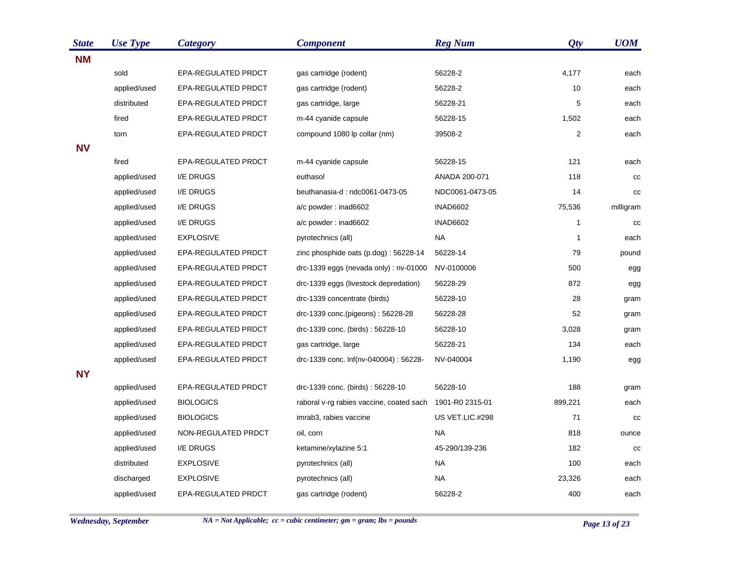| <b>State</b> | <b>Use Type</b> | <b>Category</b>     | <b>Component</b>                               | <b>Reg Num</b>  | Qty          | <b>UOM</b> |
|--------------|-----------------|---------------------|------------------------------------------------|-----------------|--------------|------------|
| <b>NM</b>    |                 |                     |                                                |                 |              |            |
|              | sold            | EPA-REGULATED PRDCT | gas cartridge (rodent)                         | 56228-2         | 4,177        | each       |
|              | applied/used    | EPA-REGULATED PRDCT | gas cartridge (rodent)                         | 56228-2         | 10           | each       |
|              | distributed     | EPA-REGULATED PRDCT | gas cartridge, large                           | 56228-21        | 5            | each       |
|              | fired           | EPA-REGULATED PRDCT | m-44 cyanide capsule                           | 56228-15        | 1,502        | each       |
|              | torn            | EPA-REGULATED PRDCT | compound 1080 lp collar (nm)                   | 39508-2         | 2            | each       |
| <b>NV</b>    |                 |                     |                                                |                 |              |            |
|              | fired           | EPA-REGULATED PRDCT | m-44 cyanide capsule                           | 56228-15        | 121          | each       |
|              | applied/used    | I/E DRUGS           | euthasol                                       | ANADA 200-071   | 118          | cc         |
|              | applied/used    | I/E DRUGS           | beuthanasia-d: ndc0061-0473-05                 | NDC0061-0473-05 | 14           | cc         |
|              | applied/used    | I/E DRUGS           | a/c powder: inad6602                           | <b>INAD6602</b> | 75,536       | milligram  |
|              | applied/used    | I/E DRUGS           | a/c powder: inad6602                           | <b>INAD6602</b> | 1            | cc         |
|              | applied/used    | <b>EXPLOSIVE</b>    | pyrotechnics (all)                             | NA.             | $\mathbf{1}$ | each       |
|              | applied/used    | EPA-REGULATED PRDCT | zinc phosphide oats (p.dog): 56228-14          | 56228-14        | 79           | pound      |
|              | applied/used    | EPA-REGULATED PRDCT | $\text{drc-1339}$ eggs (nevada only): nv-01000 | NV-0100006      | 500          | egg        |
|              | applied/used    | EPA-REGULATED PRDCT | drc-1339 eggs (livestock depredation)          | 56228-29        | 872          | egg        |
|              | applied/used    | EPA-REGULATED PRDCT | drc-1339 concentrate (birds)                   | 56228-10        | 28           | gram       |
|              | applied/used    | EPA-REGULATED PRDCT | drc-1339 conc.(pigeons): 56228-28              | 56228-28        | 52           | gram       |
|              | applied/used    | EPA-REGULATED PRDCT | drc-1339 conc. (birds): 56228-10               | 56228-10        | 3,028        | gram       |
|              | applied/used    | EPA-REGULATED PRDCT | gas cartridge, large                           | 56228-21        | 134          | each       |
|              | applied/used    | EPA-REGULATED PRDCT | drc-1339 conc. lnf(nv-040004): 56228-          | NV-040004       | 1,190        | egg        |
| <b>NY</b>    |                 |                     |                                                |                 |              |            |
|              | applied/used    | EPA-REGULATED PRDCT | drc-1339 conc. (birds): 56228-10               | 56228-10        | 188          | gram       |
|              | applied/used    | <b>BIOLOGICS</b>    | raboral v-rg rabies vaccine, coated sach       | 1901-R0 2315-01 | 899,221      | each       |
|              | applied/used    | <b>BIOLOGICS</b>    | imrab3, rabies vaccine                         | US VET.LIC.#298 | 71           | cc         |
|              | applied/used    | NON-REGULATED PRDCT | oil, corn                                      | <b>NA</b>       | 818          | ounce      |
|              | applied/used    | I/E DRUGS           | ketamine/xylazine 5:1                          | 45-290/139-236  | 182          | cc         |
|              | distributed     | <b>EXPLOSIVE</b>    | pyrotechnics (all)                             | <b>NA</b>       | 100          | each       |
|              | discharged      | <b>EXPLOSIVE</b>    | pyrotechnics (all)                             | NA              | 23,326       | each       |
|              | applied/used    | EPA-REGULATED PRDCT | gas cartridge (rodent)                         | 56228-2         | 400          | each       |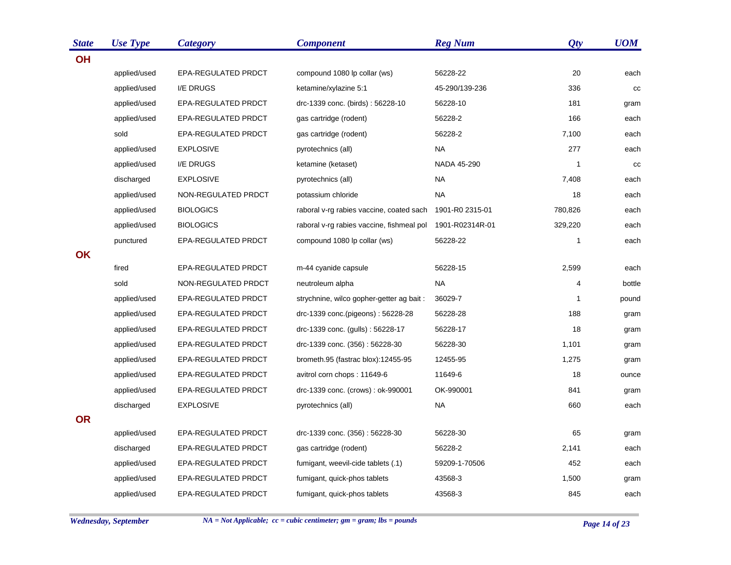| <b>State</b> | <b>Use Type</b> | <b>Category</b>            | <b>Component</b>                          | <b>Reg Num</b>  | Qty          | <b>UOM</b> |
|--------------|-----------------|----------------------------|-------------------------------------------|-----------------|--------------|------------|
| <b>OH</b>    |                 |                            |                                           |                 |              |            |
|              | applied/used    | EPA-REGULATED PRDCT        | compound 1080 lp collar (ws)              | 56228-22        | 20           | each       |
|              | applied/used    | I/E DRUGS                  | ketamine/xylazine 5:1                     | 45-290/139-236  | 336          | cc         |
|              | applied/used    | <b>EPA-REGULATED PRDCT</b> | drc-1339 conc. (birds): 56228-10          | 56228-10        | 181          | gram       |
|              | applied/used    | <b>EPA-REGULATED PRDCT</b> | gas cartridge (rodent)                    | 56228-2         | 166          | each       |
|              | sold            | EPA-REGULATED PRDCT        | gas cartridge (rodent)                    | 56228-2         | 7,100        | each       |
|              | applied/used    | <b>EXPLOSIVE</b>           | pyrotechnics (all)                        | NA.             | 277          | each       |
|              | applied/used    | I/E DRUGS                  | ketamine (ketaset)                        | NADA 45-290     | $\mathbf{1}$ | cc         |
|              | discharged      | <b>EXPLOSIVE</b>           | pyrotechnics (all)                        | <b>NA</b>       | 7,408        | each       |
|              | applied/used    | NON-REGULATED PRDCT        | potassium chloride                        | <b>NA</b>       | 18           | each       |
|              | applied/used    | <b>BIOLOGICS</b>           | raboral v-rg rabies vaccine, coated sach  | 1901-R0 2315-01 | 780,826      | each       |
|              | applied/used    | <b>BIOLOGICS</b>           | raboral v-rg rabies vaccine, fishmeal pol | 1901-R02314R-01 | 329,220      | each       |
|              | punctured       | EPA-REGULATED PRDCT        | compound 1080 lp collar (ws)              | 56228-22        | $\mathbf{1}$ | each       |
| OK           |                 |                            |                                           |                 |              |            |
|              | fired           | EPA-REGULATED PRDCT        | m-44 cyanide capsule                      | 56228-15        | 2,599        | each       |
|              | sold            | NON-REGULATED PRDCT        | neutroleum alpha                          | NA              | 4            | bottle     |
|              | applied/used    | EPA-REGULATED PRDCT        | strychnine, wilco gopher-getter ag bait : | 36029-7         | 1            | pound      |
|              | applied/used    | EPA-REGULATED PRDCT        | drc-1339 conc.(pigeons): 56228-28         | 56228-28        | 188          | gram       |
|              | applied/used    | EPA-REGULATED PRDCT        | drc-1339 conc. (gulls): 56228-17          | 56228-17        | 18           | gram       |
|              | applied/used    | EPA-REGULATED PRDCT        | drc-1339 conc. (356): 56228-30            | 56228-30        | 1,101        | gram       |
|              | applied/used    | EPA-REGULATED PRDCT        | brometh.95 (fastrac blox):12455-95        | 12455-95        | 1,275        | gram       |
|              | applied/used    | <b>EPA-REGULATED PRDCT</b> | avitrol corn chops: 11649-6               | 11649-6         | 18           | ounce      |
|              | applied/used    | EPA-REGULATED PRDCT        | drc-1339 conc. (crows) : ok-990001        | OK-990001       | 841          | gram       |
|              | discharged      | <b>EXPLOSIVE</b>           | pyrotechnics (all)                        | <b>NA</b>       | 660          | each       |
| <b>OR</b>    |                 |                            |                                           |                 |              |            |
|              | applied/used    | EPA-REGULATED PRDCT        | drc-1339 conc. (356): 56228-30            | 56228-30        | 65           | gram       |
|              | discharged      | <b>EPA-REGULATED PRDCT</b> | gas cartridge (rodent)                    | 56228-2         | 2,141        | each       |
|              | applied/used    | <b>EPA-REGULATED PRDCT</b> | fumigant, weevil-cide tablets (.1)        | 59209-1-70506   | 452          | each       |
|              | applied/used    | EPA-REGULATED PRDCT        | fumigant, quick-phos tablets              | 43568-3         | 1,500        | gram       |
|              | applied/used    | <b>EPA-REGULATED PRDCT</b> | fumigant, quick-phos tablets              | 43568-3         | 845          | each       |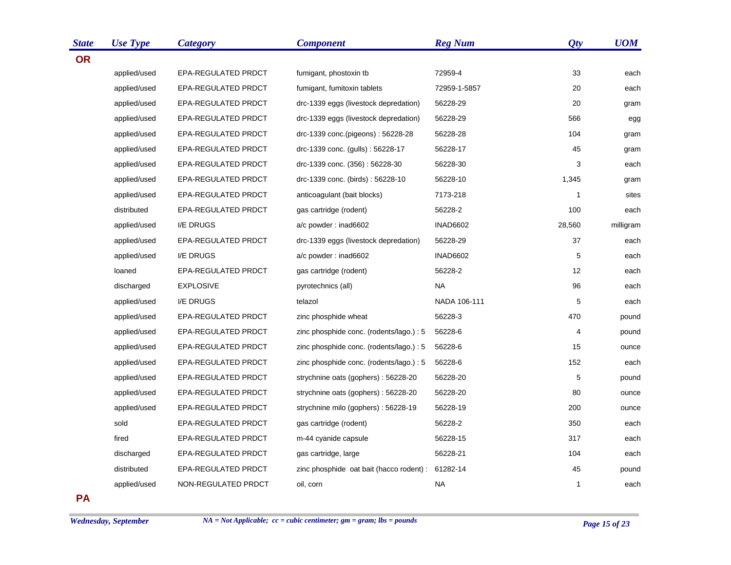| <b>State</b> | <b>Use Type</b> | <b>Category</b>     | <b>Component</b>                                  | <b>Reg Num</b>  | Qty    | <b>UOM</b> |
|--------------|-----------------|---------------------|---------------------------------------------------|-----------------|--------|------------|
| <b>OR</b>    |                 |                     |                                                   |                 |        |            |
|              | applied/used    | EPA-REGULATED PRDCT | fumigant, phostoxin tb                            | 72959-4         | 33     | each       |
|              | applied/used    | EPA-REGULATED PRDCT | fumigant, fumitoxin tablets                       | 72959-1-5857    | 20     | each       |
|              | applied/used    | EPA-REGULATED PRDCT | drc-1339 eggs (livestock depredation)             | 56228-29        | 20     | gram       |
|              | applied/used    | EPA-REGULATED PRDCT | drc-1339 eggs (livestock depredation)             | 56228-29        | 566    | egg        |
|              | applied/used    | EPA-REGULATED PRDCT | drc-1339 conc.(pigeons): 56228-28                 | 56228-28        | 104    | gram       |
|              | applied/used    | EPA-REGULATED PRDCT | drc-1339 conc. (gulls): 56228-17                  | 56228-17        | 45     | gram       |
|              | applied/used    | EPA-REGULATED PRDCT | drc-1339 conc. (356): 56228-30                    | 56228-30        | 3      | each       |
|              | applied/used    | EPA-REGULATED PRDCT | drc-1339 conc. (birds): 56228-10                  | 56228-10        | 1,345  | gram       |
|              | applied/used    | EPA-REGULATED PRDCT | anticoagulant (bait blocks)                       | 7173-218        | 1      | sites      |
|              | distributed     | EPA-REGULATED PRDCT | gas cartridge (rodent)                            | 56228-2         | 100    | each       |
|              | applied/used    | I/E DRUGS           | a/c powder: inad6602                              | <b>INAD6602</b> | 28,560 | milligram  |
|              | applied/used    | EPA-REGULATED PRDCT | drc-1339 eggs (livestock depredation)             | 56228-29        | 37     | each       |
|              | applied/used    | I/E DRUGS           | a/c powder: inad6602                              | <b>INAD6602</b> | 5      | each       |
|              | loaned          | EPA-REGULATED PRDCT | gas cartridge (rodent)                            | 56228-2         | 12     | each       |
|              | discharged      | <b>EXPLOSIVE</b>    | pyrotechnics (all)                                | <b>NA</b>       | 96     | each       |
|              | applied/used    | I/E DRUGS           | telazol                                           | NADA 106-111    | 5      | each       |
|              | applied/used    | EPA-REGULATED PRDCT | zinc phosphide wheat                              | 56228-3         | 470    | pound      |
|              | applied/used    | EPA-REGULATED PRDCT | zinc phosphide conc. (rodents/lago.) : 5          | 56228-6         | 4      | pound      |
|              | applied/used    | EPA-REGULATED PRDCT | zinc phosphide conc. (rodents/lago.) : 5          | 56228-6         | 15     | ounce      |
|              | applied/used    | EPA-REGULATED PRDCT | zinc phosphide conc. (rodents/lago.) : 5          | 56228-6         | 152    | each       |
|              | applied/used    | EPA-REGULATED PRDCT | strychnine oats (gophers): 56228-20               | 56228-20        | 5      | pound      |
|              | applied/used    | EPA-REGULATED PRDCT | strychnine oats (gophers): 56228-20               | 56228-20        | 80     | ounce      |
|              | applied/used    | EPA-REGULATED PRDCT | strychnine milo (gophers): 56228-19               | 56228-19        | 200    | ounce      |
|              | sold            | EPA-REGULATED PRDCT | gas cartridge (rodent)                            | 56228-2         | 350    | each       |
|              | fired           | EPA-REGULATED PRDCT | m-44 cyanide capsule                              | 56228-15        | 317    | each       |
|              | discharged      | EPA-REGULATED PRDCT | gas cartridge, large                              | 56228-21        | 104    | each       |
|              | distributed     | EPA-REGULATED PRDCT | zinc phosphide oat bait (hacco rodent) : 61282-14 |                 | 45     | pound      |
|              | applied/used    | NON-REGULATED PRDCT | oil, corn                                         | <b>NA</b>       | 1      | each       |

**PA**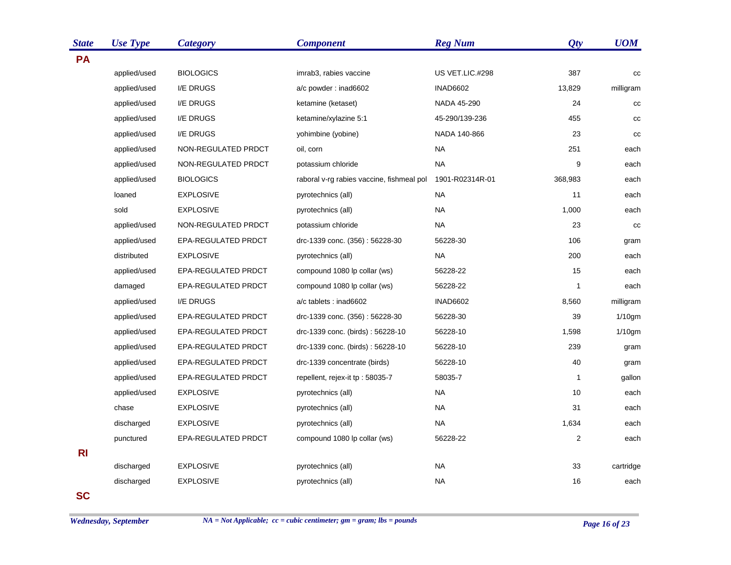| <b>State</b> | <b>Use Type</b> | <b>Category</b>     | <b>Component</b>                          | <b>Reg Num</b>  | Qty            | <b>UOM</b>  |
|--------------|-----------------|---------------------|-------------------------------------------|-----------------|----------------|-------------|
| <b>PA</b>    |                 |                     |                                           |                 |                |             |
|              | applied/used    | <b>BIOLOGICS</b>    | imrab3, rabies vaccine                    | US VET.LIC.#298 | 387            | cc          |
|              | applied/used    | I/E DRUGS           | a/c powder: inad6602                      | <b>INAD6602</b> | 13,829         | milligram   |
|              | applied/used    | I/E DRUGS           | ketamine (ketaset)                        | NADA 45-290     | 24             | $_{\rm CC}$ |
|              | applied/used    | I/E DRUGS           | ketamine/xylazine 5:1                     | 45-290/139-236  | 455            | cc          |
|              | applied/used    | I/E DRUGS           | yohimbine (yobine)                        | NADA 140-866    | 23             | cc          |
|              | applied/used    | NON-REGULATED PRDCT | oil, corn                                 | NA              | 251            | each        |
|              | applied/used    | NON-REGULATED PRDCT | potassium chloride                        | <b>NA</b>       | 9              | each        |
|              | applied/used    | <b>BIOLOGICS</b>    | raboral v-rg rabies vaccine, fishmeal pol | 1901-R02314R-01 | 368,983        | each        |
|              | loaned          | <b>EXPLOSIVE</b>    | pyrotechnics (all)                        | <b>NA</b>       | 11             | each        |
|              | sold            | <b>EXPLOSIVE</b>    | pyrotechnics (all)                        | <b>NA</b>       | 1,000          | each        |
|              | applied/used    | NON-REGULATED PRDCT | potassium chloride                        | <b>NA</b>       | 23             | cc          |
|              | applied/used    | EPA-REGULATED PRDCT | drc-1339 conc. (356): 56228-30            | 56228-30        | 106            | gram        |
|              | distributed     | <b>EXPLOSIVE</b>    | pyrotechnics (all)                        | <b>NA</b>       | 200            | each        |
|              | applied/used    | EPA-REGULATED PRDCT | compound 1080 lp collar (ws)              | 56228-22        | 15             | each        |
|              | damaged         | EPA-REGULATED PRDCT | compound 1080 lp collar (ws)              | 56228-22        | $\mathbf{1}$   | each        |
|              | applied/used    | I/E DRUGS           | a/c tablets : inad6602                    | <b>INAD6602</b> | 8,560          | milligram   |
|              | applied/used    | EPA-REGULATED PRDCT | drc-1339 conc. (356): 56228-30            | 56228-30        | 39             | $1/10$ gm   |
|              | applied/used    | EPA-REGULATED PRDCT | drc-1339 conc. (birds): 56228-10          | 56228-10        | 1,598          | $1/10$ gm   |
|              | applied/used    | EPA-REGULATED PRDCT | drc-1339 conc. (birds): 56228-10          | 56228-10        | 239            | gram        |
|              | applied/used    | EPA-REGULATED PRDCT | drc-1339 concentrate (birds)              | 56228-10        | 40             | gram        |
|              | applied/used    | EPA-REGULATED PRDCT | repellent, rejex-it tp: 58035-7           | 58035-7         | 1              | gallon      |
|              | applied/used    | <b>EXPLOSIVE</b>    | pyrotechnics (all)                        | <b>NA</b>       | 10             | each        |
|              | chase           | <b>EXPLOSIVE</b>    | pyrotechnics (all)                        | <b>NA</b>       | 31             | each        |
|              | discharged      | <b>EXPLOSIVE</b>    | pyrotechnics (all)                        | <b>NA</b>       | 1,634          | each        |
|              | punctured       | EPA-REGULATED PRDCT | compound 1080 lp collar (ws)              | 56228-22        | $\overline{2}$ | each        |
| <b>RI</b>    |                 |                     |                                           |                 |                |             |
|              | discharged      | <b>EXPLOSIVE</b>    | pyrotechnics (all)                        | NA              | 33             | cartridge   |
|              | discharged      | <b>EXPLOSIVE</b>    | pyrotechnics (all)                        | <b>NA</b>       | 16             | each        |
| <b>SC</b>    |                 |                     |                                           |                 |                |             |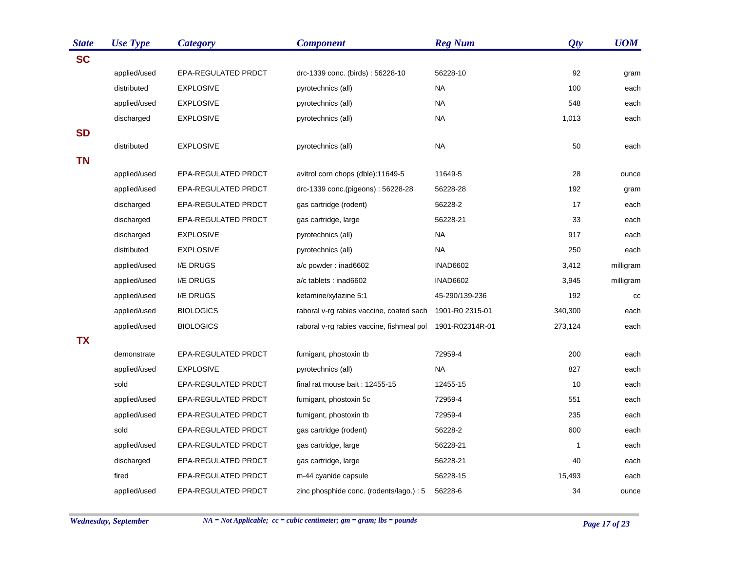| <b>State</b> | <b>Use Type</b> | <b>Category</b>            | <b>Component</b>                          | <b>Reg Num</b>  | Qty     | <b>UOM</b> |
|--------------|-----------------|----------------------------|-------------------------------------------|-----------------|---------|------------|
| <b>SC</b>    |                 |                            |                                           |                 |         |            |
|              | applied/used    | EPA-REGULATED PRDCT        | drc-1339 conc. (birds): 56228-10          | 56228-10        | 92      | gram       |
|              | distributed     | <b>EXPLOSIVE</b>           | pyrotechnics (all)                        | <b>NA</b>       | 100     | each       |
|              | applied/used    | <b>EXPLOSIVE</b>           | pyrotechnics (all)                        | <b>NA</b>       | 548     | each       |
|              | discharged      | <b>EXPLOSIVE</b>           | pyrotechnics (all)                        | NA.             | 1,013   | each       |
| <b>SD</b>    |                 |                            |                                           |                 |         |            |
|              | distributed     | <b>EXPLOSIVE</b>           | pyrotechnics (all)                        | <b>NA</b>       | 50      | each       |
| <b>TN</b>    |                 |                            |                                           |                 |         |            |
|              | applied/used    | EPA-REGULATED PRDCT        | avitrol corn chops (dble):11649-5         | 11649-5         | 28      | ounce      |
|              | applied/used    | EPA-REGULATED PRDCT        | drc-1339 conc.(pigeons): 56228-28         | 56228-28        | 192     | gram       |
|              | discharged      | EPA-REGULATED PRDCT        | gas cartridge (rodent)                    | 56228-2         | 17      | each       |
|              | discharged      | EPA-REGULATED PRDCT        | gas cartridge, large                      | 56228-21        | 33      | each       |
|              | discharged      | <b>EXPLOSIVE</b>           | pyrotechnics (all)                        | NA              | 917     | each       |
|              | distributed     | <b>EXPLOSIVE</b>           | pyrotechnics (all)                        | <b>NA</b>       | 250     | each       |
|              | applied/used    | I/E DRUGS                  | a/c powder: inad6602                      | <b>INAD6602</b> | 3,412   | milligram  |
|              | applied/used    | I/E DRUGS                  | a/c tablets : inad6602                    | <b>INAD6602</b> | 3,945   | milligram  |
|              | applied/used    | I/E DRUGS                  | ketamine/xylazine 5:1                     | 45-290/139-236  | 192     | cc         |
|              | applied/used    | <b>BIOLOGICS</b>           | raboral v-rg rabies vaccine, coated sach  | 1901-R0 2315-01 | 340,300 | each       |
|              | applied/used    | <b>BIOLOGICS</b>           | raboral v-rg rabies vaccine, fishmeal pol | 1901-R02314R-01 | 273,124 | each       |
| <b>TX</b>    |                 |                            |                                           |                 |         |            |
|              | demonstrate     | EPA-REGULATED PRDCT        | fumigant, phostoxin tb                    | 72959-4         | 200     | each       |
|              | applied/used    | <b>EXPLOSIVE</b>           | pyrotechnics (all)                        | NA              | 827     | each       |
|              | sold            | EPA-REGULATED PRDCT        | final rat mouse bait: 12455-15            | 12455-15        | 10      | each       |
|              | applied/used    | EPA-REGULATED PRDCT        | fumigant, phostoxin 5c                    | 72959-4         | 551     | each       |
|              | applied/used    | EPA-REGULATED PRDCT        | fumigant, phostoxin tb                    | 72959-4         | 235     | each       |
|              | sold            | EPA-REGULATED PRDCT        | gas cartridge (rodent)                    | 56228-2         | 600     | each       |
|              | applied/used    | EPA-REGULATED PRDCT        | gas cartridge, large                      | 56228-21        | 1       | each       |
|              | discharged      | EPA-REGULATED PRDCT        | gas cartridge, large                      | 56228-21        | 40      | each       |
|              | fired           | EPA-REGULATED PRDCT        | m-44 cyanide capsule                      | 56228-15        | 15,493  | each       |
|              | applied/used    | <b>EPA-REGULATED PRDCT</b> | zinc phosphide conc. (rodents/lago.) : 5  | 56228-6         | 34      | ounce      |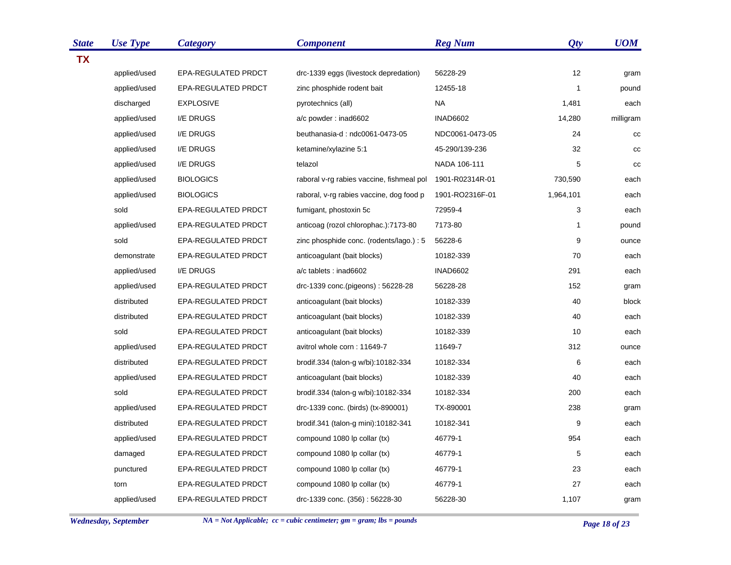| <b>State</b> | <b>Use Type</b> | <b>Category</b>     | <b>Component</b>                          | <b>Reg Num</b>  | Qty       | <b>UOM</b> |
|--------------|-----------------|---------------------|-------------------------------------------|-----------------|-----------|------------|
| <b>TX</b>    |                 |                     |                                           |                 |           |            |
|              | applied/used    | EPA-REGULATED PRDCT | drc-1339 eggs (livestock depredation)     | 56228-29        | 12        | gram       |
|              | applied/used    | EPA-REGULATED PRDCT | zinc phosphide rodent bait                | 12455-18        | 1         | pound      |
|              | discharged      | <b>EXPLOSIVE</b>    | pyrotechnics (all)                        | <b>NA</b>       | 1,481     | each       |
|              | applied/used    | I/E DRUGS           | a/c powder: inad6602                      | <b>INAD6602</b> | 14,280    | milligram  |
|              | applied/used    | I/E DRUGS           | beuthanasia-d: ndc0061-0473-05            | NDC0061-0473-05 | 24        | cc         |
|              | applied/used    | I/E DRUGS           | ketamine/xylazine 5:1                     | 45-290/139-236  | 32        | cc         |
|              | applied/used    | I/E DRUGS           | telazol                                   | NADA 106-111    | 5         | cc         |
|              | applied/used    | <b>BIOLOGICS</b>    | raboral v-rg rabies vaccine, fishmeal pol | 1901-R02314R-01 | 730,590   | each       |
|              | applied/used    | <b>BIOLOGICS</b>    | raboral, v-rg rabies vaccine, dog food p  | 1901-RO2316F-01 | 1,964,101 | each       |
|              | sold            | EPA-REGULATED PRDCT | fumigant, phostoxin 5c                    | 72959-4         | 3         | each       |
|              | applied/used    | EPA-REGULATED PRDCT | anticoag (rozol chlorophac.):7173-80      | 7173-80         | 1         | pound      |
|              | sold            | EPA-REGULATED PRDCT | zinc phosphide conc. (rodents/lago.) : 5  | 56228-6         | 9         | ounce      |
|              | demonstrate     | EPA-REGULATED PRDCT | anticoagulant (bait blocks)               | 10182-339       | 70        | each       |
|              | applied/used    | I/E DRUGS           | a/c tablets : inad6602                    | <b>INAD6602</b> | 291       | each       |
|              | applied/used    | EPA-REGULATED PRDCT | drc-1339 conc.(pigeons): 56228-28         | 56228-28        | 152       | gram       |
|              | distributed     | EPA-REGULATED PRDCT | anticoagulant (bait blocks)               | 10182-339       | 40        | block      |
|              | distributed     | EPA-REGULATED PRDCT | anticoagulant (bait blocks)               | 10182-339       | 40        | each       |
|              | sold            | EPA-REGULATED PRDCT | anticoagulant (bait blocks)               | 10182-339       | 10        | each       |
|              | applied/used    | EPA-REGULATED PRDCT | avitrol whole corn: 11649-7               | 11649-7         | 312       | ounce      |
|              | distributed     | EPA-REGULATED PRDCT | brodif.334 (talon-g w/bi):10182-334       | 10182-334       | 6         | each       |
|              | applied/used    | EPA-REGULATED PRDCT | anticoagulant (bait blocks)               | 10182-339       | 40        | each       |
|              | sold            | EPA-REGULATED PRDCT | brodif.334 (talon-g w/bi):10182-334       | 10182-334       | 200       | each       |
|              | applied/used    | EPA-REGULATED PRDCT | drc-1339 conc. (birds) (tx-890001)        | TX-890001       | 238       | gram       |
|              | distributed     | EPA-REGULATED PRDCT | brodif.341 (talon-g mini):10182-341       | 10182-341       | 9         | each       |
|              | applied/used    | EPA-REGULATED PRDCT | compound 1080 lp collar (tx)              | 46779-1         | 954       | each       |
|              | damaged         | EPA-REGULATED PRDCT | compound 1080 lp collar (tx)              | 46779-1         | 5         | each       |
|              | punctured       | EPA-REGULATED PRDCT | compound 1080 lp collar (tx)              | 46779-1         | 23        | each       |
|              | torn            | EPA-REGULATED PRDCT | compound 1080 lp collar (tx)              | 46779-1         | 27        | each       |
|              | applied/used    | EPA-REGULATED PRDCT | drc-1339 conc. (356): 56228-30            | 56228-30        | 1,107     | gram       |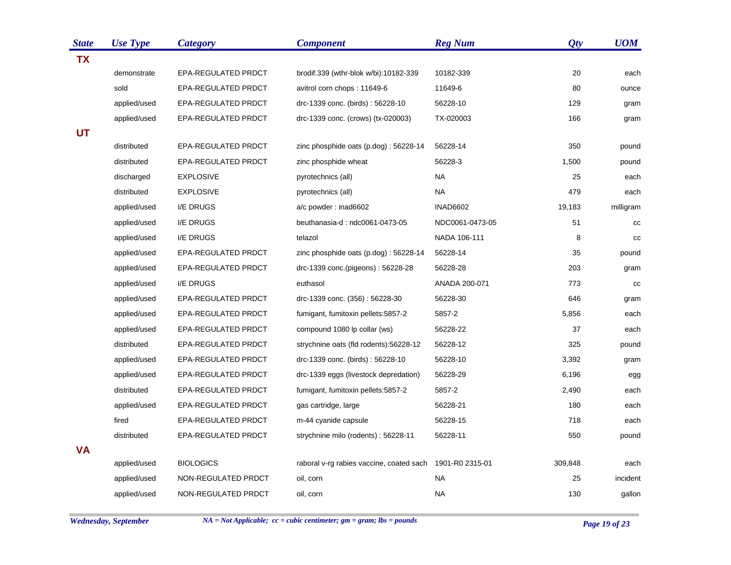| <b>State</b> | <b>Use Type</b> | <b>Category</b>     | <b>Component</b>                         | <b>Reg Num</b>  | Qty     | <b>UOM</b>  |
|--------------|-----------------|---------------------|------------------------------------------|-----------------|---------|-------------|
| <b>TX</b>    |                 |                     |                                          |                 |         |             |
|              | demonstrate     | EPA-REGULATED PRDCT | brodif.339 (wthr-blok w/bi):10182-339    | 10182-339       | 20      | each        |
|              | sold            | EPA-REGULATED PRDCT | avitrol corn chops: 11649-6              | 11649-6         | 80      | ounce       |
|              | applied/used    | EPA-REGULATED PRDCT | drc-1339 conc. (birds): 56228-10         | 56228-10        | 129     | gram        |
|              | applied/used    | EPA-REGULATED PRDCT | drc-1339 conc. (crows) (tx-020003)       | TX-020003       | 166     | gram        |
| <b>UT</b>    |                 |                     |                                          |                 |         |             |
|              | distributed     | EPA-REGULATED PRDCT | zinc phosphide oats (p.dog): 56228-14    | 56228-14        | 350     | pound       |
|              | distributed     | EPA-REGULATED PRDCT | zinc phosphide wheat                     | 56228-3         | 1,500   | pound       |
|              | discharged      | <b>EXPLOSIVE</b>    | pyrotechnics (all)                       | <b>NA</b>       | 25      | each        |
|              | distributed     | <b>EXPLOSIVE</b>    | pyrotechnics (all)                       | <b>NA</b>       | 479     | each        |
|              | applied/used    | I/E DRUGS           | a/c powder: inad6602                     | <b>INAD6602</b> | 19,183  | milligram   |
|              | applied/used    | I/E DRUGS           | beuthanasia-d: ndc0061-0473-05           | NDC0061-0473-05 | 51      | $_{\rm CC}$ |
|              | applied/used    | I/E DRUGS           | telazol                                  | NADA 106-111    | 8       | cc          |
|              | applied/used    | EPA-REGULATED PRDCT | zinc phosphide oats (p.dog): 56228-14    | 56228-14        | 35      | pound       |
|              | applied/used    | EPA-REGULATED PRDCT | drc-1339 conc.(pigeons): 56228-28        | 56228-28        | 203     | gram        |
|              | applied/used    | I/E DRUGS           | euthasol                                 | ANADA 200-071   | 773     | cc          |
|              | applied/used    | EPA-REGULATED PRDCT | drc-1339 conc. (356): 56228-30           | 56228-30        | 646     | gram        |
|              | applied/used    | EPA-REGULATED PRDCT | fumigant, fumitoxin pellets: 5857-2      | 5857-2          | 5,856   | each        |
|              | applied/used    | EPA-REGULATED PRDCT | compound 1080 lp collar (ws)             | 56228-22        | 37      | each        |
|              | distributed     | EPA-REGULATED PRDCT | strychnine oats (fld rodents): 56228-12  | 56228-12        | 325     | pound       |
|              | applied/used    | EPA-REGULATED PRDCT | drc-1339 conc. (birds): 56228-10         | 56228-10        | 3,392   | gram        |
|              | applied/used    | EPA-REGULATED PRDCT | drc-1339 eggs (livestock depredation)    | 56228-29        | 6,196   | egg         |
|              | distributed     | EPA-REGULATED PRDCT | fumigant, fumitoxin pellets: 5857-2      | 5857-2          | 2,490   | each        |
|              | applied/used    | EPA-REGULATED PRDCT | gas cartridge, large                     | 56228-21        | 180     | each        |
|              | fired           | EPA-REGULATED PRDCT | m-44 cyanide capsule                     | 56228-15        | 718     | each        |
|              | distributed     | EPA-REGULATED PRDCT | strychnine milo (rodents): 56228-11      | 56228-11        | 550     | pound       |
| <b>VA</b>    |                 |                     |                                          |                 |         |             |
|              | applied/used    | <b>BIOLOGICS</b>    | raboral v-rg rabies vaccine, coated sach | 1901-R0 2315-01 | 309,848 | each        |
|              | applied/used    | NON-REGULATED PRDCT | oil, corn                                | <b>NA</b>       | 25      | incident    |
|              | applied/used    | NON-REGULATED PRDCT | oil, corn                                | <b>NA</b>       | 130     | gallon      |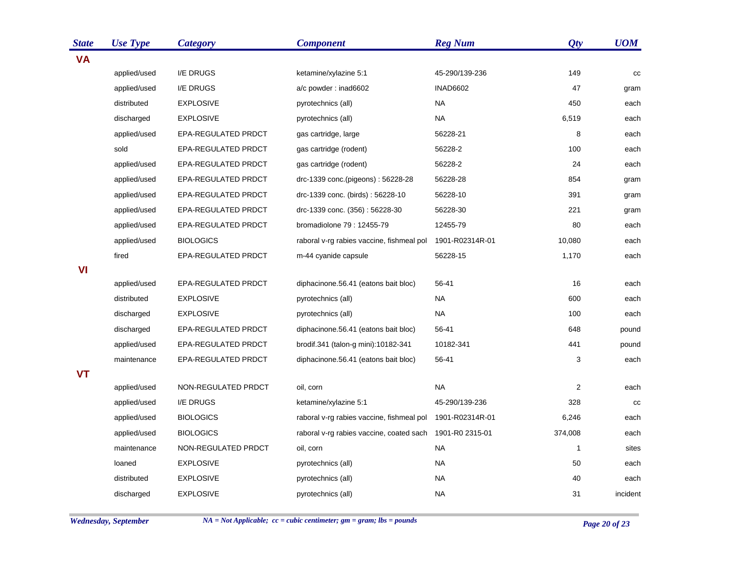| <b>State</b> | <b>Use Type</b> | <b>Category</b>     | <b>Component</b>                          | <b>Reg Num</b>  | Qty          | <b>UOM</b> |
|--------------|-----------------|---------------------|-------------------------------------------|-----------------|--------------|------------|
| <b>VA</b>    |                 |                     |                                           |                 |              |            |
|              | applied/used    | I/E DRUGS           | ketamine/xylazine 5:1                     | 45-290/139-236  | 149          | cc         |
|              | applied/used    | I/E DRUGS           | a/c powder: inad6602                      | <b>INAD6602</b> | 47           | gram       |
|              | distributed     | <b>EXPLOSIVE</b>    | pyrotechnics (all)                        | <b>NA</b>       | 450          | each       |
|              | discharged      | <b>EXPLOSIVE</b>    | pyrotechnics (all)                        | <b>NA</b>       | 6,519        | each       |
|              | applied/used    | EPA-REGULATED PRDCT | gas cartridge, large                      | 56228-21        | 8            | each       |
|              | sold            | EPA-REGULATED PRDCT | gas cartridge (rodent)                    | 56228-2         | 100          | each       |
|              | applied/used    | EPA-REGULATED PRDCT | gas cartridge (rodent)                    | 56228-2         | 24           | each       |
|              | applied/used    | EPA-REGULATED PRDCT | drc-1339 conc.(pigeons): 56228-28         | 56228-28        | 854          | gram       |
|              | applied/used    | EPA-REGULATED PRDCT | drc-1339 conc. (birds): 56228-10          | 56228-10        | 391          | gram       |
|              | applied/used    | EPA-REGULATED PRDCT | drc-1339 conc. (356): 56228-30            | 56228-30        | 221          | gram       |
|              | applied/used    | EPA-REGULATED PRDCT | bromadiolone 79: 12455-79                 | 12455-79        | 80           | each       |
|              | applied/used    | <b>BIOLOGICS</b>    | raboral v-rg rabies vaccine, fishmeal pol | 1901-R02314R-01 | 10,080       | each       |
|              | fired           | EPA-REGULATED PRDCT | m-44 cyanide capsule                      | 56228-15        | 1,170        | each       |
| VI           |                 |                     |                                           |                 |              |            |
|              | applied/used    | EPA-REGULATED PRDCT | diphacinone.56.41 (eatons bait bloc)      | 56-41           | 16           | each       |
|              | distributed     | <b>EXPLOSIVE</b>    | pyrotechnics (all)                        | <b>NA</b>       | 600          | each       |
|              | discharged      | <b>EXPLOSIVE</b>    | pyrotechnics (all)                        | <b>NA</b>       | 100          | each       |
|              | discharged      | EPA-REGULATED PRDCT | diphacinone.56.41 (eatons bait bloc)      | 56-41           | 648          | pound      |
|              | applied/used    | EPA-REGULATED PRDCT | brodif.341 (talon-g mini):10182-341       | 10182-341       | 441          | pound      |
|              | maintenance     | EPA-REGULATED PRDCT | diphacinone.56.41 (eatons bait bloc)      | 56-41           | 3            | each       |
| <b>VT</b>    |                 |                     |                                           |                 |              |            |
|              | applied/used    | NON-REGULATED PRDCT | oil, corn                                 | <b>NA</b>       | 2            | each       |
|              | applied/used    | I/E DRUGS           | ketamine/xylazine 5:1                     | 45-290/139-236  | 328          | cc         |
|              | applied/used    | <b>BIOLOGICS</b>    | raboral v-rg rabies vaccine, fishmeal pol | 1901-R02314R-01 | 6,246        | each       |
|              | applied/used    | <b>BIOLOGICS</b>    | raboral v-rg rabies vaccine, coated sach  | 1901-R0 2315-01 | 374,008      | each       |
|              | maintenance     | NON-REGULATED PRDCT | oil, corn                                 | <b>NA</b>       | $\mathbf{1}$ | sites      |
|              | loaned          | <b>EXPLOSIVE</b>    | pyrotechnics (all)                        | NA.             | 50           | each       |
|              | distributed     | <b>EXPLOSIVE</b>    | pyrotechnics (all)                        | <b>NA</b>       | 40           | each       |
|              | discharged      | <b>EXPLOSIVE</b>    | pyrotechnics (all)                        | <b>NA</b>       | 31           | incident   |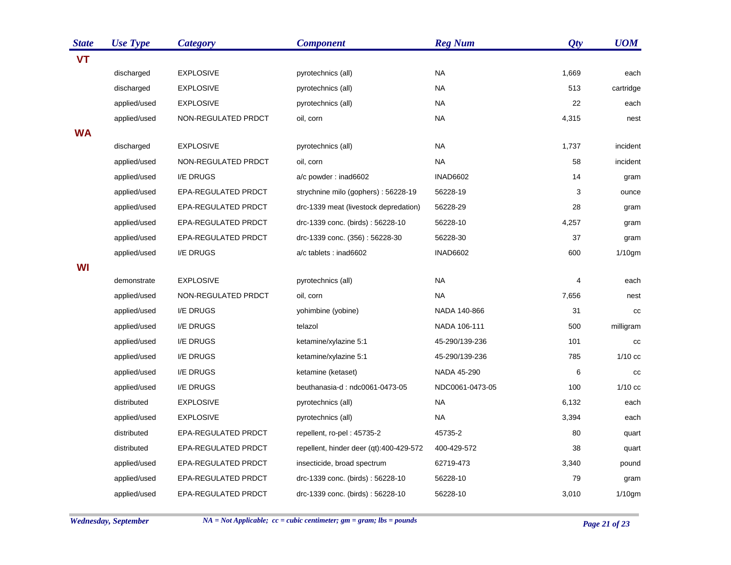| <b>State</b> | <b>Use Type</b> | <b>Category</b>     | <b>Component</b>                        | <b>Reg Num</b>  | Qty   | <b>UOM</b> |
|--------------|-----------------|---------------------|-----------------------------------------|-----------------|-------|------------|
| <b>VT</b>    |                 |                     |                                         |                 |       |            |
|              | discharged      | <b>EXPLOSIVE</b>    | pyrotechnics (all)                      | <b>NA</b>       | 1,669 | each       |
|              | discharged      | <b>EXPLOSIVE</b>    | pyrotechnics (all)                      | <b>NA</b>       | 513   | cartridge  |
|              | applied/used    | <b>EXPLOSIVE</b>    | pyrotechnics (all)                      | NA              | 22    | each       |
|              | applied/used    | NON-REGULATED PRDCT | oil, corn                               | <b>NA</b>       | 4,315 | nest       |
| <b>WA</b>    |                 |                     |                                         |                 |       |            |
|              | discharged      | <b>EXPLOSIVE</b>    | pyrotechnics (all)                      | <b>NA</b>       | 1,737 | incident   |
|              | applied/used    | NON-REGULATED PRDCT | oil, corn                               | <b>NA</b>       | 58    | incident   |
|              | applied/used    | I/E DRUGS           | a/c powder: inad6602                    | <b>INAD6602</b> | 14    | gram       |
|              | applied/used    | EPA-REGULATED PRDCT | strychnine milo (gophers): 56228-19     | 56228-19        | 3     | ounce      |
|              | applied/used    | EPA-REGULATED PRDCT | drc-1339 meat (livestock depredation)   | 56228-29        | 28    | gram       |
|              | applied/used    | EPA-REGULATED PRDCT | drc-1339 conc. (birds): 56228-10        | 56228-10        | 4,257 | gram       |
|              | applied/used    | EPA-REGULATED PRDCT | drc-1339 conc. (356): 56228-30          | 56228-30        | 37    | gram       |
|              | applied/used    | I/E DRUGS           | a/c tablets: inad6602                   | <b>INAD6602</b> | 600   | $1/10$ gm  |
| WI           |                 |                     |                                         |                 |       |            |
|              | demonstrate     | <b>EXPLOSIVE</b>    | pyrotechnics (all)                      | NA              | 4     | each       |
|              | applied/used    | NON-REGULATED PRDCT | oil, corn                               | NA              | 7,656 | nest       |
|              | applied/used    | I/E DRUGS           | yohimbine (yobine)                      | NADA 140-866    | 31    | CC         |
|              | applied/used    | <b>I/E DRUGS</b>    | telazol                                 | NADA 106-111    | 500   | milligram  |
|              | applied/used    | I/E DRUGS           | ketamine/xylazine 5:1                   | 45-290/139-236  | 101   | cc         |
|              | applied/used    | I/E DRUGS           | ketamine/xylazine 5:1                   | 45-290/139-236  | 785   | $1/10$ cc  |
|              | applied/used    | I/E DRUGS           | ketamine (ketaset)                      | NADA 45-290     | 6     | cc         |
|              | applied/used    | I/E DRUGS           | beuthanasia-d: ndc0061-0473-05          | NDC0061-0473-05 | 100   | $1/10$ cc  |
|              | distributed     | <b>EXPLOSIVE</b>    | pyrotechnics (all)                      | <b>NA</b>       | 6,132 | each       |
|              | applied/used    | <b>EXPLOSIVE</b>    | pyrotechnics (all)                      | NA              | 3,394 | each       |
|              | distributed     | EPA-REGULATED PRDCT | repellent, ro-pel: 45735-2              | 45735-2         | 80    | quart      |
|              | distributed     | EPA-REGULATED PRDCT | repellent, hinder deer (qt):400-429-572 | 400-429-572     | 38    | quart      |
|              | applied/used    | EPA-REGULATED PRDCT | insecticide, broad spectrum             | 62719-473       | 3,340 | pound      |
|              | applied/used    | EPA-REGULATED PRDCT | drc-1339 conc. (birds): 56228-10        | 56228-10        | 79    | gram       |
|              | applied/used    | EPA-REGULATED PRDCT | drc-1339 conc. (birds): 56228-10        | 56228-10        | 3,010 | $1/10$ gm  |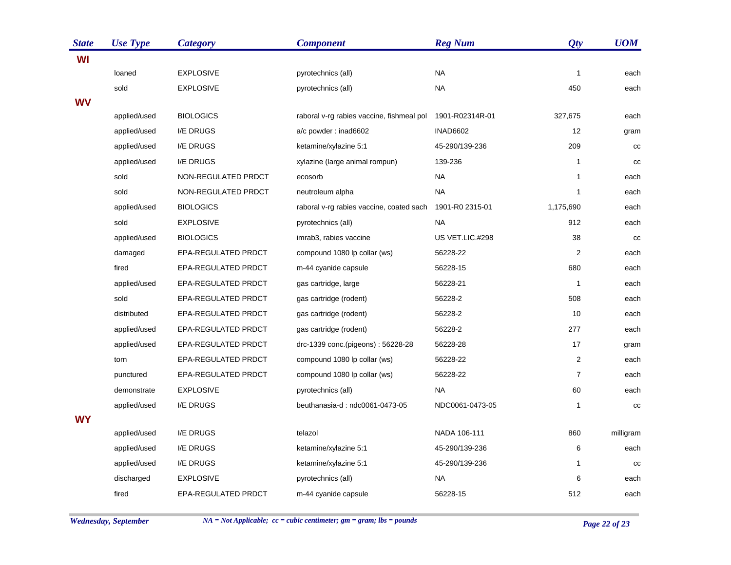| <b>State</b> | <b>Use Type</b> | <b>Category</b>     | <b>Component</b>                          | <b>Reg Num</b>  | Qty            | <b>UOM</b> |
|--------------|-----------------|---------------------|-------------------------------------------|-----------------|----------------|------------|
| WI           |                 |                     |                                           |                 |                |            |
|              | loaned          | <b>EXPLOSIVE</b>    | pyrotechnics (all)                        | <b>NA</b>       | $\mathbf{1}$   | each       |
|              | sold            | <b>EXPLOSIVE</b>    | pyrotechnics (all)                        | <b>NA</b>       | 450            | each       |
| <b>WV</b>    |                 |                     |                                           |                 |                |            |
|              | applied/used    | <b>BIOLOGICS</b>    | raboral v-rg rabies vaccine, fishmeal pol | 1901-R02314R-01 | 327,675        | each       |
|              | applied/used    | I/E DRUGS           | a/c powder: inad6602                      | <b>INAD6602</b> | 12             | gram       |
|              | applied/used    | I/E DRUGS           | ketamine/xylazine 5:1                     | 45-290/139-236  | 209            | cc         |
|              | applied/used    | I/E DRUGS           | xylazine (large animal rompun)            | 139-236         | $\mathbf{1}$   | cc         |
|              | sold            | NON-REGULATED PRDCT | ecosorb                                   | <b>NA</b>       | $\mathbf{1}$   | each       |
|              | sold            | NON-REGULATED PRDCT | neutroleum alpha                          | <b>NA</b>       | $\mathbf{1}$   | each       |
|              | applied/used    | <b>BIOLOGICS</b>    | raboral v-rg rabies vaccine, coated sach  | 1901-R0 2315-01 | 1,175,690      | each       |
|              | sold            | <b>EXPLOSIVE</b>    | pyrotechnics (all)                        | <b>NA</b>       | 912            | each       |
|              | applied/used    | <b>BIOLOGICS</b>    | imrab3, rabies vaccine                    | US VET.LIC.#298 | 38             | cc         |
|              | damaged         | EPA-REGULATED PRDCT | compound 1080 lp collar (ws)              | 56228-22        | $\overline{2}$ | each       |
|              | fired           | EPA-REGULATED PRDCT | m-44 cyanide capsule                      | 56228-15        | 680            | each       |
|              | applied/used    | EPA-REGULATED PRDCT | gas cartridge, large                      | 56228-21        | $\mathbf{1}$   | each       |
|              | sold            | EPA-REGULATED PRDCT | gas cartridge (rodent)                    | 56228-2         | 508            | each       |
|              | distributed     | EPA-REGULATED PRDCT | gas cartridge (rodent)                    | 56228-2         | 10             | each       |
|              | applied/used    | EPA-REGULATED PRDCT | gas cartridge (rodent)                    | 56228-2         | 277            | each       |
|              | applied/used    | EPA-REGULATED PRDCT | drc-1339 conc.(pigeons): 56228-28         | 56228-28        | 17             | gram       |
|              | torn            | EPA-REGULATED PRDCT | compound 1080 lp collar (ws)              | 56228-22        | $\overline{c}$ | each       |
|              | punctured       | EPA-REGULATED PRDCT | compound 1080 lp collar (ws)              | 56228-22        | $\overline{7}$ | each       |
|              | demonstrate     | <b>EXPLOSIVE</b>    | pyrotechnics (all)                        | <b>NA</b>       | 60             | each       |
|              | applied/used    | I/E DRUGS           | beuthanasia-d: ndc0061-0473-05            | NDC0061-0473-05 | $\mathbf{1}$   | cc         |
| <b>WY</b>    |                 |                     |                                           |                 |                |            |
|              | applied/used    | I/E DRUGS           | telazol                                   | NADA 106-111    | 860            | milligram  |
|              | applied/used    | I/E DRUGS           | ketamine/xylazine 5:1                     | 45-290/139-236  | 6              | each       |
|              | applied/used    | I/E DRUGS           | ketamine/xylazine 5:1                     | 45-290/139-236  | $\mathbf{1}$   | CC         |
|              | discharged      | <b>EXPLOSIVE</b>    | pyrotechnics (all)                        | <b>NA</b>       | 6              | each       |
|              | fired           | EPA-REGULATED PRDCT | m-44 cyanide capsule                      | 56228-15        | 512            | each       |